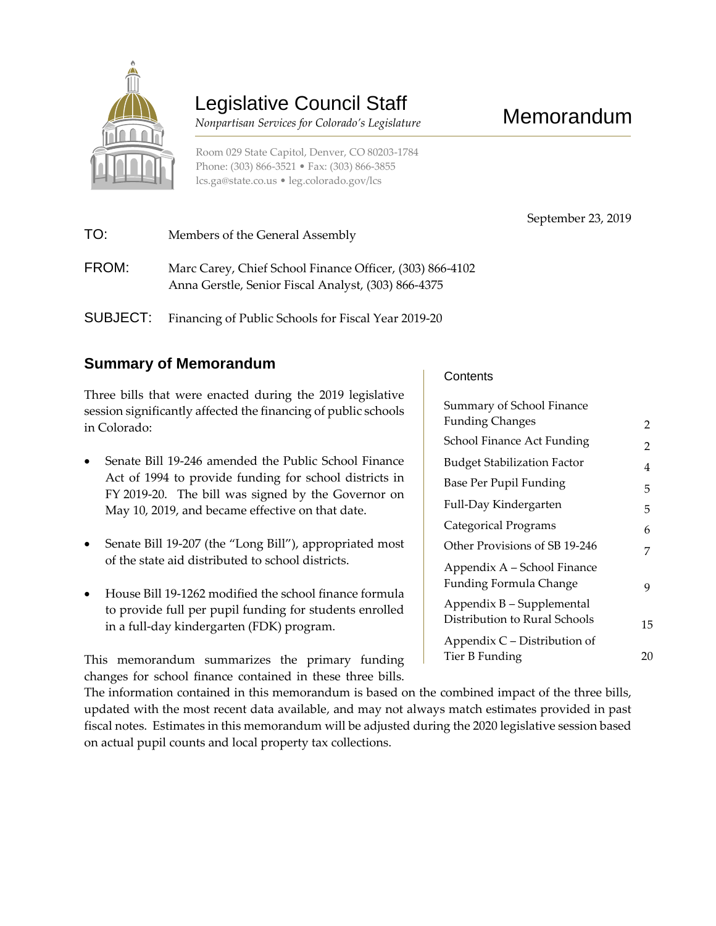

# Legislative Council Staff

 *Nonpartisan Services for Colorado's Legislature*

Room 029 State Capitol, Denver, CO 80203-1784 Phone: (303) 866-3521 • Fax: (303) 866-3855 [lcs.ga@state.co.us](mailto:lcs.ga@state.co.us) • [leg.colorado.gov/lcs](http://leg.colorado.gov/lcs)

September 23, 2019

| TO:      | Members of the General Assembly                                                                                 |
|----------|-----------------------------------------------------------------------------------------------------------------|
| FROM:    | Marc Carey, Chief School Finance Officer, (303) 866-4102<br>Anna Gerstle, Senior Fiscal Analyst, (303) 866-4375 |
| SUBJECT: | Financing of Public Schools for Fiscal Year 2019-20                                                             |

#### **Summary of Memorandum**

Three bills that were enacted during the 2019 legislative session significantly affected the financing of public schools in Colorado:

- Senate Bill 19-246 amended the Public School Finance Act of 1994 to provide funding for school districts in FY 2019-20. The bill was signed by the Governor on May 10, 2019, and became effective on that date.
- Senate Bill 19-207 (the "Long Bill"), appropriated most of the state aid distributed to school districts.
- House Bill 19-1262 modified the school finance formula to provide full per pupil funding for students enrolled in a full-day kindergarten (FDK) program.

This memorandum summarizes the primary funding changes for school finance contained in these three bills.

**Contents** 

| Summary of School Finance                                    |    |
|--------------------------------------------------------------|----|
| <b>Funding Changes</b>                                       | 2  |
| School Finance Act Funding                                   | 2  |
| <b>Budget Stabilization Factor</b>                           | 4  |
| Base Per Pupil Funding                                       | 5  |
| Full-Day Kindergarten                                        | 5  |
| Categorical Programs                                         | 6  |
| Other Provisions of SB 19-246                                | 7  |
| Appendix A - School Finance<br><b>Funding Formula Change</b> | 9  |
| Appendix B - Supplemental<br>Distribution to Rural Schools   | 15 |
| Appendix C – Distribution of                                 |    |
| Tier B Funding                                               | 20 |

The information contained in this memorandum is based on the combined impact of the three bills, updated with the most recent data available, and may not always match estimates provided in past fiscal notes. Estimates in this memorandum will be adjusted during the 2020 legislative session based on actual pupil counts and local property tax collections.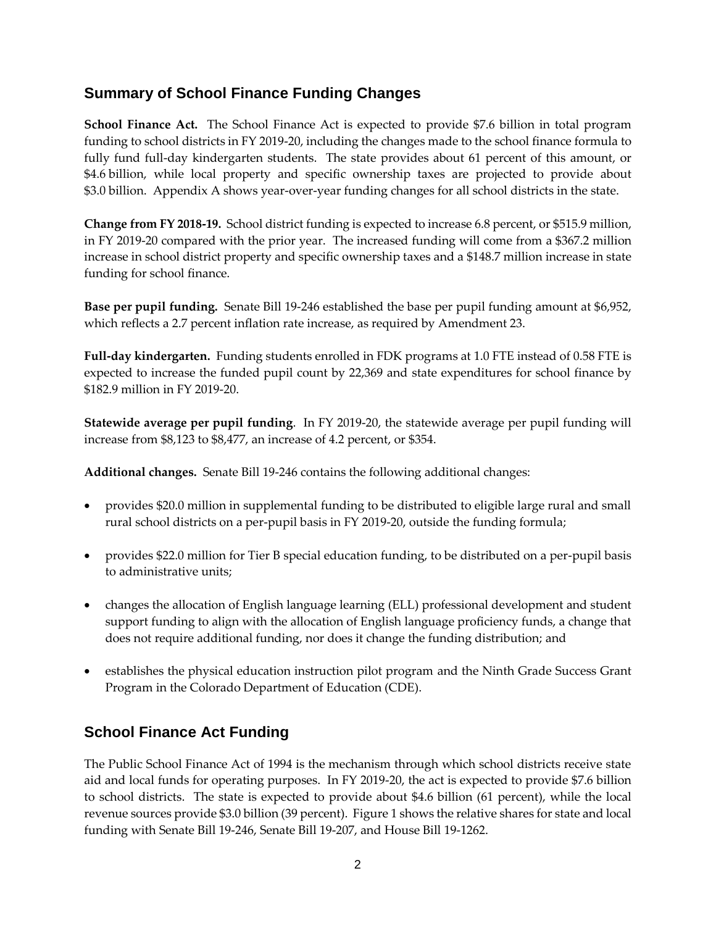#### **Summary of School Finance Funding Changes**

**School Finance Act.** The School Finance Act is expected to provide \$7.6 billion in total program funding to school districts in FY 2019-20, including the changes made to the school finance formula to fully fund full-day kindergarten students. The state provides about 61 percent of this amount, or \$4.6 billion, while local property and specific ownership taxes are projected to provide about \$3.0 billion. Appendix A shows year-over-year funding changes for all school districts in the state.

**Change from FY 2018-19.** School district funding is expected to increase 6.8 percent, or \$515.9 million, in FY 2019-20 compared with the prior year. The increased funding will come from a \$367.2 million increase in school district property and specific ownership taxes and a \$148.7 million increase in state funding for school finance.

**Base per pupil funding.** Senate Bill 19-246 established the base per pupil funding amount at \$6,952, which reflects a 2.7 percent inflation rate increase, as required by Amendment 23.

**Full-day kindergarten.** Funding students enrolled in FDK programs at 1.0 FTE instead of 0.58 FTE is expected to increase the funded pupil count by 22,369 and state expenditures for school finance by \$182.9 million in FY 2019-20.

**Statewide average per pupil funding**. In FY 2019-20, the statewide average per pupil funding will increase from \$8,123 to \$8,477, an increase of 4.2 percent, or \$354.

**Additional changes.** Senate Bill 19-246 contains the following additional changes:

- provides \$20.0 million in supplemental funding to be distributed to eligible large rural and small rural school districts on a per-pupil basis in FY 2019-20, outside the funding formula;
- provides \$22.0 million for Tier B special education funding, to be distributed on a per-pupil basis to administrative units;
- changes the allocation of English language learning (ELL) professional development and student support funding to align with the allocation of English language proficiency funds, a change that does not require additional funding, nor does it change the funding distribution; and
- establishes the physical education instruction pilot program and the Ninth Grade Success Grant Program in the Colorado Department of Education (CDE).

#### **School Finance Act Funding**

The Public School Finance Act of 1994 is the mechanism through which school districts receive state aid and local funds for operating purposes. In FY 2019-20, the act is expected to provide \$7.6 billion to school districts. The state is expected to provide about \$4.6 billion (61 percent), while the local revenue sources provide \$3.0 billion (39 percent). Figure 1 shows the relative shares for state and local funding with Senate Bill 19-246, Senate Bill 19-207, and House Bill 19-1262.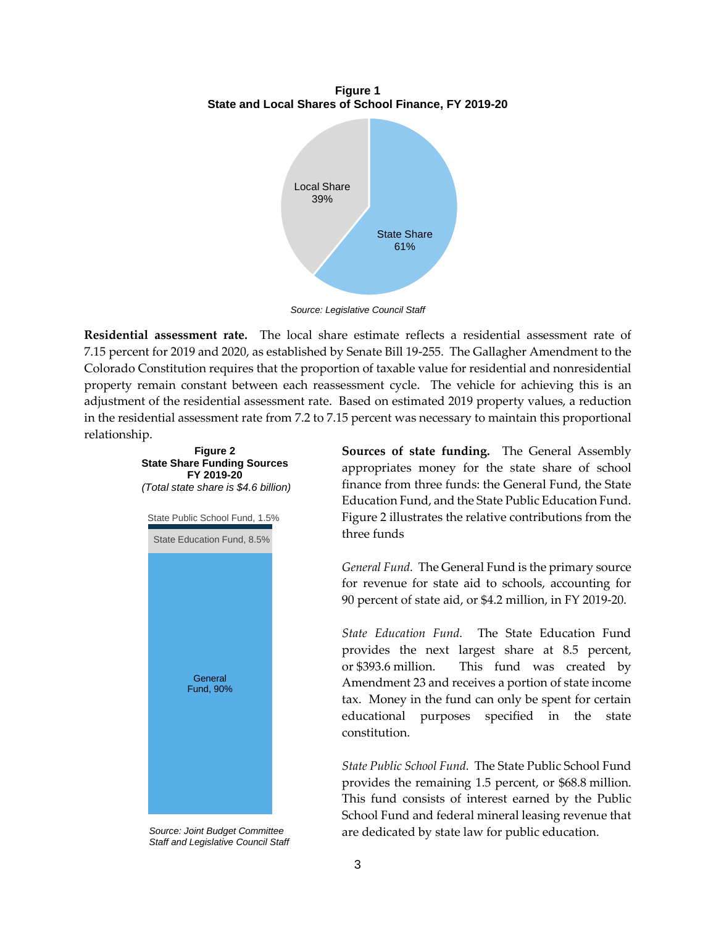**Figure 1 State and Local Shares of School Finance, FY 2019-20**



*Source: Legislative Council Staff*

**Residential assessment rate.** The local share estimate reflects a residential assessment rate of 7.15 percent for 2019 and 2020, as established by Senate Bill 19-255. The Gallagher Amendment to the Colorado Constitution requires that the proportion of taxable value for residential and nonresidential property remain constant between each reassessment cycle. The vehicle for achieving this is an adjustment of the residential assessment rate. Based on estimated 2019 property values, a reduction in the residential assessment rate from 7.2 to 7.15 percent was necessary to maintain this proportional relationship.



*Source: Joint Budget Committee Staff and Legislative Council Staff*

**Sources of state funding.** The General Assembly appropriates money for the state share of school finance from three funds: the General Fund, the State Education Fund, and the State Public Education Fund. Figure 2 illustrates the relative contributions from the three funds

*General Fund.* The General Fund is the primary source for revenue for state aid to schools, accounting for 90 percent of state aid, or \$4.2 million, in FY 2019-20.

*State Education Fund.* The State Education Fund provides the next largest share at 8.5 percent, or \$393.6 million. This fund was created by Amendment 23 and receives a portion of state income tax. Money in the fund can only be spent for certain educational purposes specified in the state constitution.

*State Public School Fund.* The State Public School Fund provides the remaining 1.5 percent, or \$68.8 million. This fund consists of interest earned by the Public School Fund and federal mineral leasing revenue that are dedicated by state law for public education.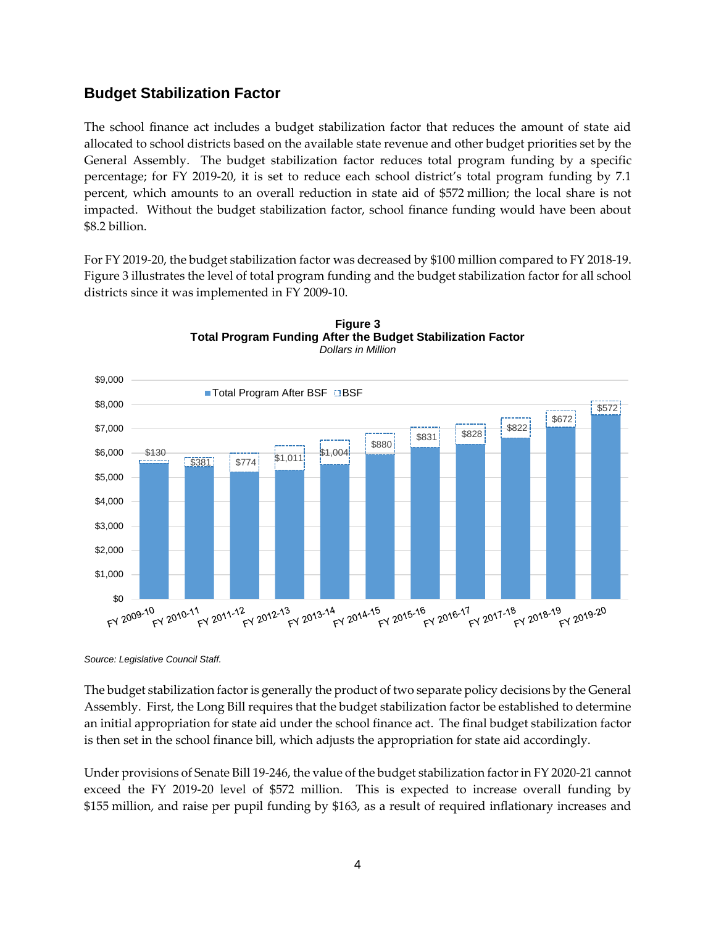#### **Budget Stabilization Factor**

The school finance act includes a budget stabilization factor that reduces the amount of state aid allocated to school districts based on the available state revenue and other budget priorities set by the General Assembly. The budget stabilization factor reduces total program funding by a specific percentage; for FY 2019-20, it is set to reduce each school district's total program funding by 7.1 percent, which amounts to an overall reduction in state aid of \$572 million; the local share is not impacted. Without the budget stabilization factor, school finance funding would have been about \$8.2 billion.

For FY 2019-20, the budget stabilization factor was decreased by \$100 million compared to FY 2018-19. Figure 3 illustrates the level of total program funding and the budget stabilization factor for all school districts since it was implemented in FY 2009-10.





*Source: Legislative Council Staff.*

The budget stabilization factor is generally the product of two separate policy decisions by the General Assembly. First, the Long Bill requires that the budget stabilization factor be established to determine an initial appropriation for state aid under the school finance act. The final budget stabilization factor is then set in the school finance bill, which adjusts the appropriation for state aid accordingly.

Under provisions of Senate Bill 19-246, the value of the budget stabilization factor in FY 2020-21 cannot exceed the FY 2019-20 level of \$572 million. This is expected to increase overall funding by \$155 million, and raise per pupil funding by \$163, as a result of required inflationary increases and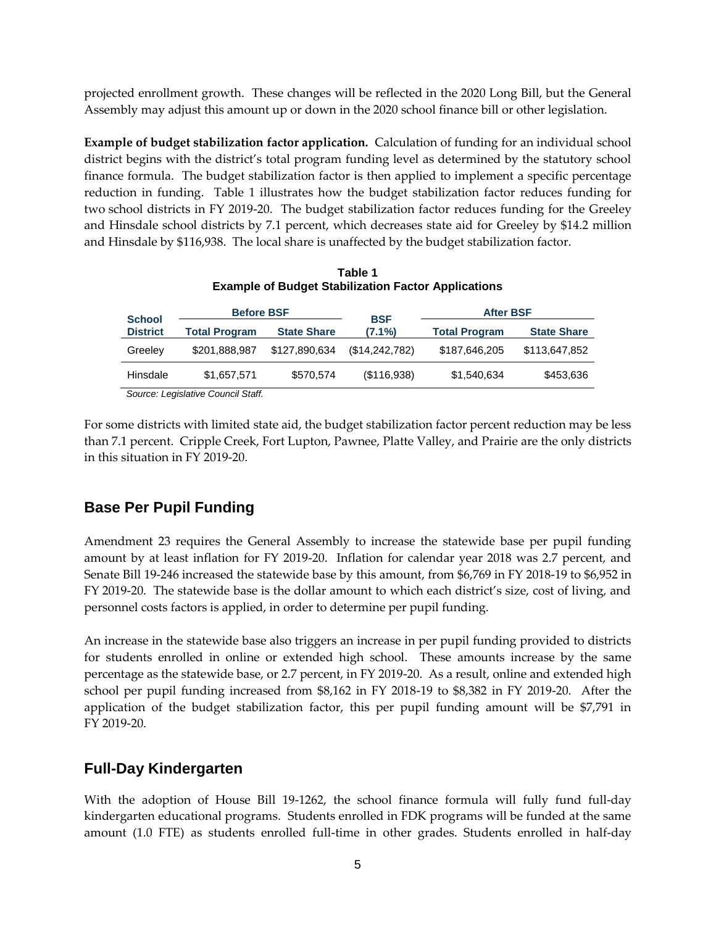projected enrollment growth. These changes will be reflected in the 2020 Long Bill, but the General Assembly may adjust this amount up or down in the 2020 school finance bill or other legislation.

**Example of budget stabilization factor application.** Calculation of funding for an individual school district begins with the district's total program funding level as determined by the statutory school finance formula. The budget stabilization factor is then applied to implement a specific percentage reduction in funding. Table 1 illustrates how the budget stabilization factor reduces funding for two school districts in FY 2019-20. The budget stabilization factor reduces funding for the Greeley and Hinsdale school districts by 7.1 percent, which decreases state aid for Greeley by \$14.2 million and Hinsdale by \$116,938. The local share is unaffected by the budget stabilization factor.

|                 | <b>Example of Budget Stabilization Factor Applications</b> |                    |                |                      |                    |  |  |  |  |  |  |  |
|-----------------|------------------------------------------------------------|--------------------|----------------|----------------------|--------------------|--|--|--|--|--|--|--|
| <b>School</b>   | <b>Before BSF</b>                                          |                    | <b>BSF</b>     | <b>After BSF</b>     |                    |  |  |  |  |  |  |  |
| <b>District</b> | <b>Total Program</b>                                       | <b>State Share</b> | $(7.1\%)$      | <b>Total Program</b> | <b>State Share</b> |  |  |  |  |  |  |  |
| Greeley         | \$201,888,987                                              | \$127,890,634      | (\$14,242,782) | \$187,646,205        | \$113,647,852      |  |  |  |  |  |  |  |
| Hinsdale        | \$1,657,571                                                | \$570,574          | (\$116.938)    | \$1,540,634          | \$453,636          |  |  |  |  |  |  |  |
| $\sim$          | $\cdots$<br>$\sim$                                         |                    |                |                      |                    |  |  |  |  |  |  |  |

**Table 1**

*Source: Legislative Council Staff.*

For some districts with limited state aid, the budget stabilization factor percent reduction may be less than 7.1 percent. Cripple Creek, Fort Lupton, Pawnee, Platte Valley, and Prairie are the only districts in this situation in FY 2019-20.

### **Base Per Pupil Funding**

Amendment 23 requires the General Assembly to increase the statewide base per pupil funding amount by at least inflation for FY 2019-20. Inflation for calendar year 2018 was 2.7 percent, and Senate Bill 19-246 increased the statewide base by this amount, from \$6,769 in FY 2018-19 to \$6,952 in FY 2019-20. The statewide base is the dollar amount to which each district's size, cost of living, and personnel costs factors is applied, in order to determine per pupil funding.

An increase in the statewide base also triggers an increase in per pupil funding provided to districts for students enrolled in online or extended high school. These amounts increase by the same percentage as the statewide base, or 2.7 percent, in FY 2019-20. As a result, online and extended high school per pupil funding increased from \$8,162 in FY 2018-19 to \$8,382 in FY 2019-20. After the application of the budget stabilization factor, this per pupil funding amount will be \$7,791 in FY 2019-20.

#### **Full-Day Kindergarten**

With the adoption of House Bill 19-1262, the school finance formula will fully fund full-day kindergarten educational programs. Students enrolled in FDK programs will be funded at the same amount (1.0 FTE) as students enrolled full-time in other grades. Students enrolled in half-day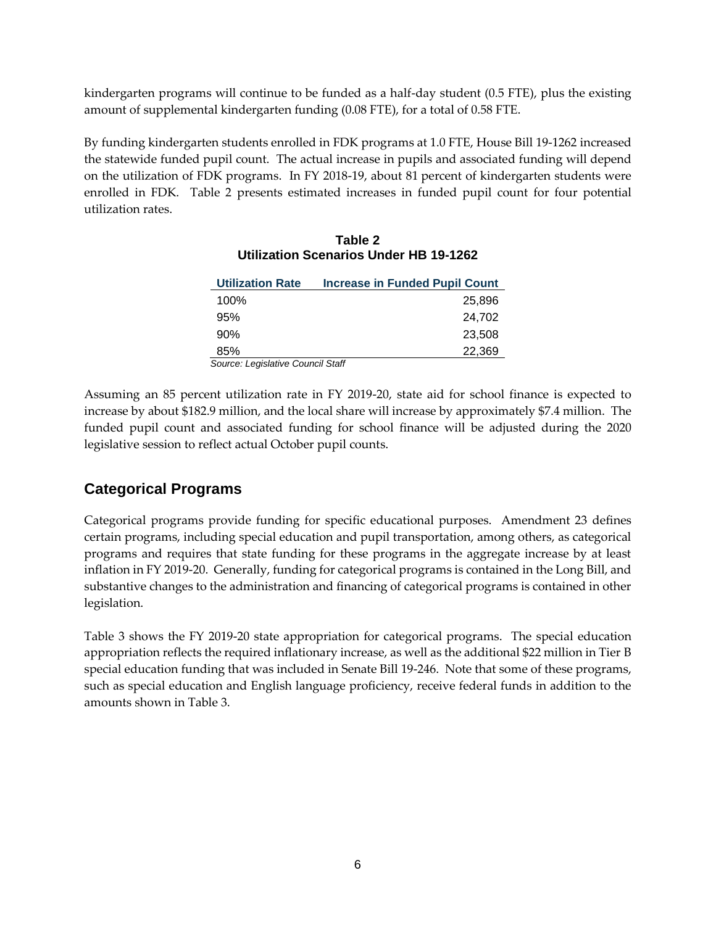kindergarten programs will continue to be funded as a half-day student (0.5 FTE), plus the existing amount of supplemental kindergarten funding (0.08 FTE), for a total of 0.58 FTE.

By funding kindergarten students enrolled in FDK programs at 1.0 FTE, House Bill 19-1262 increased the statewide funded pupil count. The actual increase in pupils and associated funding will depend on the utilization of FDK programs. In FY 2018-19, about 81 percent of kindergarten students were enrolled in FDK. Table 2 presents estimated increases in funded pupil count for four potential utilization rates.

| <b>Utilization Rate</b>           | <b>Increase in Funded Pupil Count</b> |
|-----------------------------------|---------------------------------------|
| 100%                              | 25,896                                |
| 95%                               | 24.702                                |
| 90%                               | 23,508                                |
| 85%                               | 22,369                                |
| Source: Legislative Council Staff |                                       |

#### **Table 2 Utilization Scenarios Under HB 19-1262**

Assuming an 85 percent utilization rate in FY 2019-20, state aid for school finance is expected to increase by about \$182.9 million, and the local share will increase by approximately \$7.4 million. The funded pupil count and associated funding for school finance will be adjusted during the 2020 legislative session to reflect actual October pupil counts.

#### **Categorical Programs**

Categorical programs provide funding for specific educational purposes. Amendment 23 defines certain programs, including special education and pupil transportation, among others, as categorical programs and requires that state funding for these programs in the aggregate increase by at least inflation in FY 2019-20. Generally, funding for categorical programs is contained in the Long Bill, and substantive changes to the administration and financing of categorical programs is contained in other legislation.

Table 3 shows the FY 2019-20 state appropriation for categorical programs. The special education appropriation reflects the required inflationary increase, as well as the additional \$22 million in Tier B special education funding that was included in Senate Bill 19-246. Note that some of these programs, such as special education and English language proficiency, receive federal funds in addition to the amounts shown in Table 3.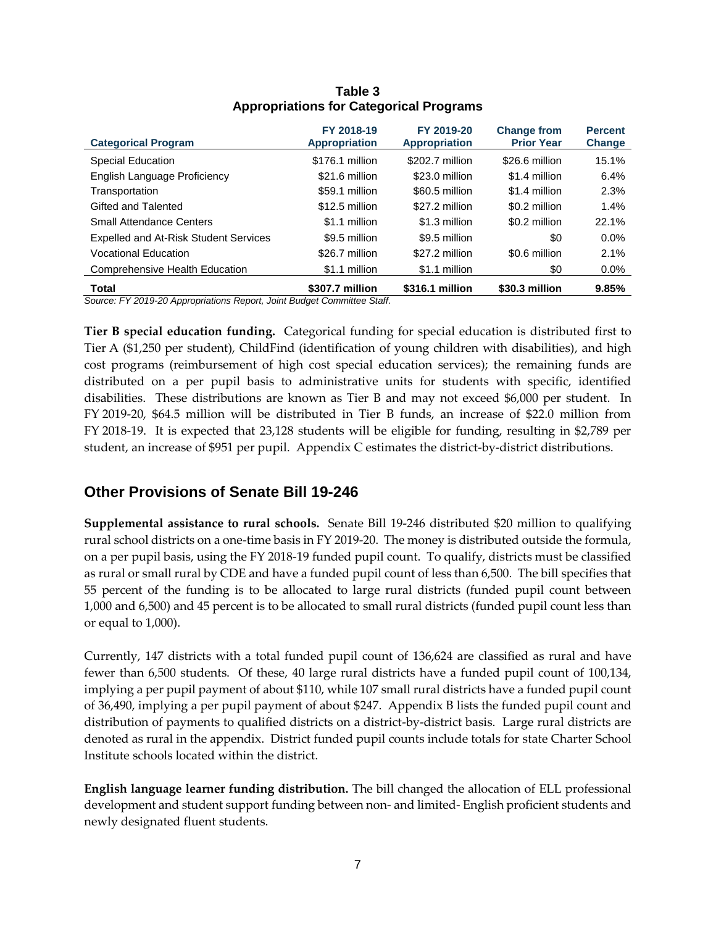| <b>Categorical Program</b>            | FY 2018-19<br><b>Appropriation</b> | FY 2019-20<br><b>Appropriation</b> | <b>Change from</b><br><b>Prior Year</b> | <b>Percent</b><br>Change |
|---------------------------------------|------------------------------------|------------------------------------|-----------------------------------------|--------------------------|
| Special Education                     | \$176.1 million                    | \$202.7 million                    | \$26.6 million                          | 15.1%                    |
| English Language Proficiency          | \$21.6 million                     | \$23.0 million                     | \$1.4 million                           | 6.4%                     |
| Transportation                        | \$59.1 million                     | \$60.5 million                     | \$1.4 million                           | 2.3%                     |
| Gifted and Talented                   | $$12.5$ million                    | \$27.2 million                     | \$0.2 million                           | 1.4%                     |
| <b>Small Attendance Centers</b>       | \$1.1 million                      | \$1.3 million                      | \$0.2 million                           | 22.1%                    |
| Expelled and At-Risk Student Services | \$9.5 million                      | \$9.5 million                      | \$0                                     | 0.0%                     |
| <b>Vocational Education</b>           | \$26.7 million                     | \$27.2 million                     | \$0.6 million                           | 2.1%                     |
| Comprehensive Health Education        | \$1.1 million                      | \$1.1 million                      | \$0                                     | $0.0\%$                  |
| Total                                 | \$307.7 million                    | \$316.1 million                    | \$30.3 million                          | 9.85%                    |

#### **Table 3 Appropriations for Categorical Programs**

*Source: FY 2019-20 Appropriations Report, Joint Budget Committee Staff.*

**Tier B special education funding.** Categorical funding for special education is distributed first to Tier A (\$1,250 per student), ChildFind (identification of young children with disabilities), and high cost programs (reimbursement of high cost special education services); the remaining funds are distributed on a per pupil basis to administrative units for students with specific, identified disabilities. These distributions are known as Tier B and may not exceed \$6,000 per student. In FY 2019-20, \$64.5 million will be distributed in Tier B funds, an increase of \$22.0 million from FY 2018-19. It is expected that 23,128 students will be eligible for funding, resulting in \$2,789 per student, an increase of \$951 per pupil. Appendix C estimates the district-by-district distributions.

#### **Other Provisions of Senate Bill 19-246**

**Supplemental assistance to rural schools.** Senate Bill 19-246 distributed \$20 million to qualifying rural school districts on a one-time basis in FY 2019-20. The money is distributed outside the formula, on a per pupil basis, using the FY 2018-19 funded pupil count. To qualify, districts must be classified as rural or small rural by CDE and have a funded pupil count of less than 6,500. The bill specifies that 55 percent of the funding is to be allocated to large rural districts (funded pupil count between 1,000 and 6,500) and 45 percent is to be allocated to small rural districts (funded pupil count less than or equal to 1,000).

Currently, 147 districts with a total funded pupil count of 136,624 are classified as rural and have fewer than 6,500 students. Of these, 40 large rural districts have a funded pupil count of 100,134, implying a per pupil payment of about \$110, while 107 small rural districts have a funded pupil count of 36,490, implying a per pupil payment of about \$247. Appendix B lists the funded pupil count and distribution of payments to qualified districts on a district-by-district basis. Large rural districts are denoted as rural in the appendix. District funded pupil counts include totals for state Charter School Institute schools located within the district.

**English language learner funding distribution.** The bill changed the allocation of ELL professional development and student support funding between non- and limited- English proficient students and newly designated fluent students.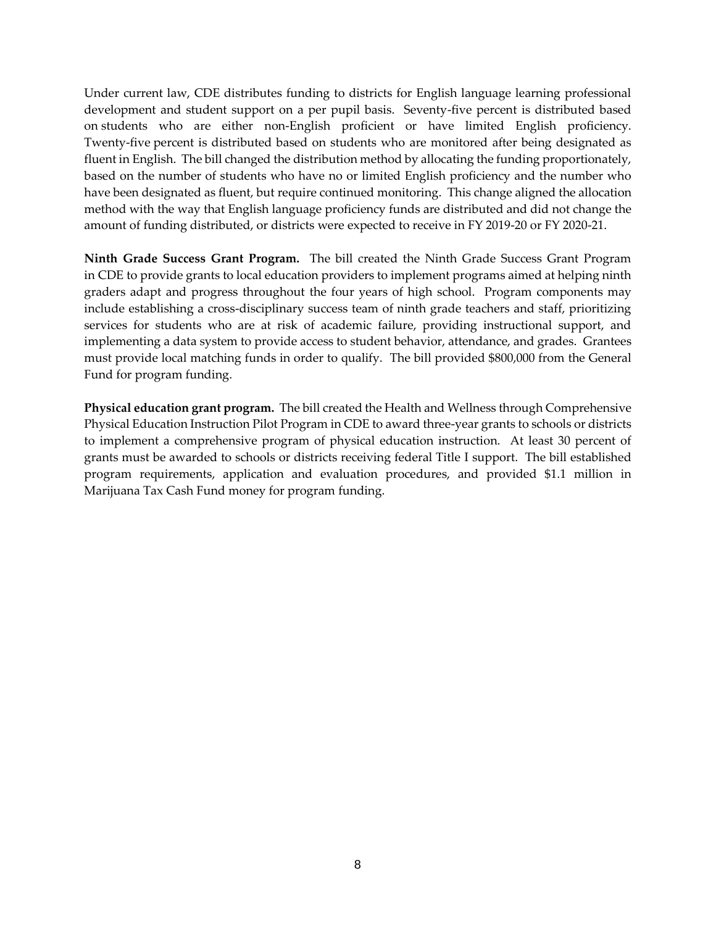Under current law, CDE distributes funding to districts for English language learning professional development and student support on a per pupil basis. Seventy-five percent is distributed based on students who are either non-English proficient or have limited English proficiency. Twenty-five percent is distributed based on students who are monitored after being designated as fluent in English. The bill changed the distribution method by allocating the funding proportionately, based on the number of students who have no or limited English proficiency and the number who have been designated as fluent, but require continued monitoring. This change aligned the allocation method with the way that English language proficiency funds are distributed and did not change the amount of funding distributed, or districts were expected to receive in FY 2019-20 or FY 2020-21.

**Ninth Grade Success Grant Program.** The bill created the Ninth Grade Success Grant Program in CDE to provide grants to local education providers to implement programs aimed at helping ninth graders adapt and progress throughout the four years of high school. Program components may include establishing a cross-disciplinary success team of ninth grade teachers and staff, prioritizing services for students who are at risk of academic failure, providing instructional support, and implementing a data system to provide access to student behavior, attendance, and grades. Grantees must provide local matching funds in order to qualify. The bill provided \$800,000 from the General Fund for program funding.

**Physical education grant program.** The bill created the Health and Wellness through Comprehensive Physical Education Instruction Pilot Program in CDE to award three-year grants to schools or districts to implement a comprehensive program of physical education instruction. At least 30 percent of grants must be awarded to schools or districts receiving federal Title I support. The bill established program requirements, application and evaluation procedures, and provided \$1.1 million in Marijuana Tax Cash Fund money for program funding.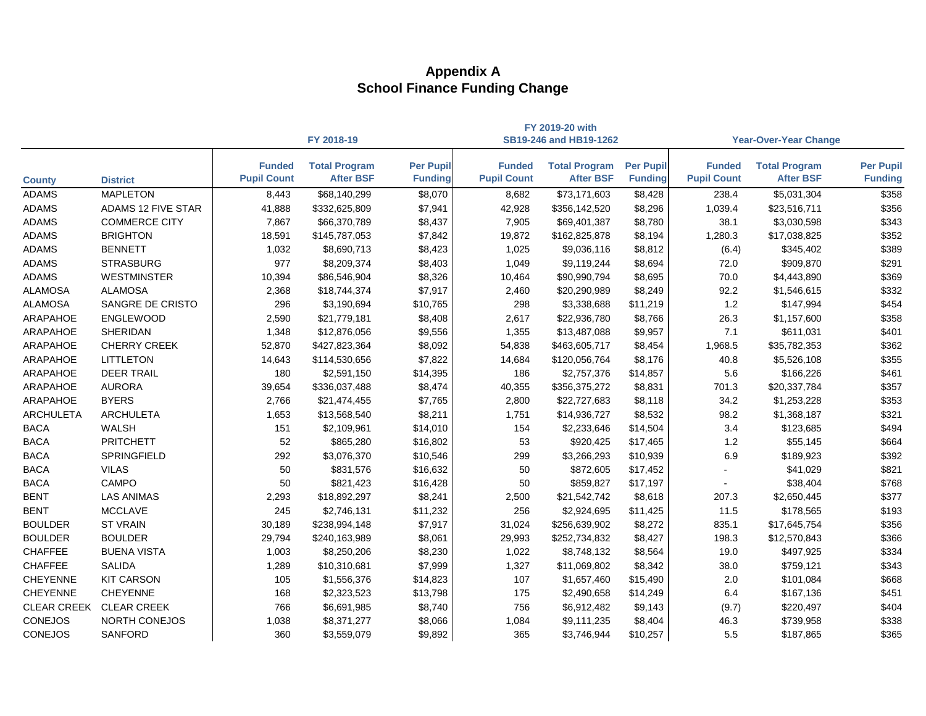|                    |                           |                                     |                                          |                                    |                                     | FY 2019-20 with                          |                                    |                                     |                                          |                                    |  |
|--------------------|---------------------------|-------------------------------------|------------------------------------------|------------------------------------|-------------------------------------|------------------------------------------|------------------------------------|-------------------------------------|------------------------------------------|------------------------------------|--|
|                    |                           |                                     | FY 2018-19                               |                                    |                                     | SB19-246 and HB19-1262                   |                                    | <b>Year-Over-Year Change</b>        |                                          |                                    |  |
| <b>County</b>      | <b>District</b>           | <b>Funded</b><br><b>Pupil Count</b> | <b>Total Program</b><br><b>After BSF</b> | <b>Per Pupil</b><br><b>Funding</b> | <b>Funded</b><br><b>Pupil Count</b> | <b>Total Program</b><br><b>After BSF</b> | <b>Per Pupil</b><br><b>Funding</b> | <b>Funded</b><br><b>Pupil Count</b> | <b>Total Program</b><br><b>After BSF</b> | <b>Per Pupil</b><br><b>Funding</b> |  |
| <b>ADAMS</b>       | <b>MAPLETON</b>           | 8,443                               | \$68,140,299                             | \$8,070                            | 8,682                               | \$73,171,603                             | \$8,428                            | 238.4                               | \$5,031,304                              | \$358                              |  |
| <b>ADAMS</b>       | <b>ADAMS 12 FIVE STAR</b> | 41,888                              | \$332,625,809                            | \$7,941                            | 42,928                              | \$356,142,520                            | \$8,296                            | 1,039.4                             | \$23,516,711                             | \$356                              |  |
| <b>ADAMS</b>       | <b>COMMERCE CITY</b>      | 7,867                               | \$66,370,789                             | \$8,437                            | 7,905                               | \$69,401,387                             | \$8,780                            | 38.1                                | \$3,030,598                              | \$343                              |  |
| <b>ADAMS</b>       | <b>BRIGHTON</b>           | 18,591                              | \$145,787,053                            | \$7,842                            | 19,872                              | \$162,825,878                            | \$8,194                            | 1,280.3                             | \$17,038,825                             | \$352                              |  |
| <b>ADAMS</b>       | <b>BENNETT</b>            | 1,032                               | \$8,690,713                              | \$8,423                            | 1,025                               | \$9,036,116                              | \$8,812                            | (6.4)                               | \$345,402                                | \$389                              |  |
| <b>ADAMS</b>       | <b>STRASBURG</b>          | 977                                 | \$8,209,374                              | \$8,403                            | 1,049                               | \$9,119,244                              | \$8,694                            | 72.0                                | \$909,870                                | \$291                              |  |
| <b>ADAMS</b>       | <b>WESTMINSTER</b>        | 10,394                              | \$86,546,904                             | \$8,326                            | 10,464                              | \$90,990,794                             | \$8,695                            | 70.0                                | \$4,443,890                              | \$369                              |  |
| <b>ALAMOSA</b>     | <b>ALAMOSA</b>            | 2,368                               | \$18,744,374                             | \$7,917                            | 2,460                               | \$20,290,989                             | \$8,249                            | 92.2                                | \$1,546,615                              | \$332                              |  |
| <b>ALAMOSA</b>     | SANGRE DE CRISTO          | 296                                 | \$3,190,694                              | \$10,765                           | 298                                 | \$3,338,688                              | \$11,219                           | 1.2                                 | \$147,994                                | \$454                              |  |
| ARAPAHOE           | <b>ENGLEWOOD</b>          | 2,590                               | \$21,779,181                             | \$8,408                            | 2,617                               | \$22,936,780                             | \$8,766                            | 26.3                                | \$1,157,600                              | \$358                              |  |
| ARAPAHOE           | <b>SHERIDAN</b>           | 1,348                               | \$12,876,056                             | \$9,556                            | 1,355                               | \$13,487,088                             | \$9,957                            | 7.1                                 | \$611,031                                | \$401                              |  |
| ARAPAHOE           | <b>CHERRY CREEK</b>       | 52,870                              | \$427,823,364                            | \$8,092                            | 54,838                              | \$463,605,717                            | \$8,454                            | 1,968.5                             | \$35,782,353                             | \$362                              |  |
| ARAPAHOE           | <b>LITTLETON</b>          | 14,643                              | \$114,530,656                            | \$7,822                            | 14,684                              | \$120,056,764                            | \$8,176                            | 40.8                                | \$5,526,108                              | \$355                              |  |
| <b>ARAPAHOE</b>    | <b>DEER TRAIL</b>         | 180                                 | \$2,591,150                              | \$14,395                           | 186                                 | \$2,757,376                              | \$14,857                           | 5.6                                 | \$166,226                                | \$461                              |  |
| <b>ARAPAHOE</b>    | <b>AURORA</b>             | 39,654                              | \$336,037,488                            | \$8,474                            | 40,355                              | \$356,375,272                            | \$8,831                            | 701.3                               | \$20,337,784                             | \$357                              |  |
| ARAPAHOE           | <b>BYERS</b>              | 2,766                               | \$21,474,455                             | \$7,765                            | 2,800                               | \$22,727,683                             | \$8,118                            | 34.2                                | \$1,253,228                              | \$353                              |  |
| <b>ARCHULETA</b>   | <b>ARCHULETA</b>          | 1,653                               | \$13,568,540                             | \$8,211                            | 1,751                               | \$14,936,727                             | \$8,532                            | 98.2                                | \$1,368,187                              | \$321                              |  |
| <b>BACA</b>        | WALSH                     | 151                                 | \$2,109,961                              | \$14,010                           | 154                                 | \$2,233,646                              | \$14,504                           | 3.4                                 | \$123,685                                | \$494                              |  |
| <b>BACA</b>        | <b>PRITCHETT</b>          | 52                                  | \$865,280                                | \$16,802                           | 53                                  | \$920,425                                | \$17,465                           | 1.2                                 | \$55,145                                 | \$664                              |  |
| <b>BACA</b>        | <b>SPRINGFIELD</b>        | 292                                 | \$3,076,370                              | \$10,546                           | 299                                 | \$3,266,293                              | \$10,939                           | 6.9                                 | \$189,923                                | \$392                              |  |
| <b>BACA</b>        | <b>VILAS</b>              | 50                                  | \$831,576                                | \$16,632                           | 50                                  | \$872,605                                | \$17,452                           |                                     | \$41,029                                 | \$821                              |  |
| <b>BACA</b>        | <b>CAMPO</b>              | 50                                  | \$821,423                                | \$16,428                           | 50                                  | \$859,827                                | \$17,197                           |                                     | \$38,404                                 | \$768                              |  |
| <b>BENT</b>        | <b>LAS ANIMAS</b>         | 2,293                               | \$18,892,297                             | \$8,241                            | 2,500                               | \$21,542,742                             | \$8,618                            | 207.3                               | \$2,650,445                              | \$377                              |  |
| <b>BENT</b>        | <b>MCCLAVE</b>            | 245                                 | \$2,746,131                              | \$11,232                           | 256                                 | \$2,924,695                              | \$11,425                           | 11.5                                | \$178,565                                | \$193                              |  |
| <b>BOULDER</b>     | <b>ST VRAIN</b>           | 30,189                              | \$238,994,148                            | \$7,917                            | 31,024                              | \$256,639,902                            | \$8,272                            | 835.1                               | \$17,645,754                             | \$356                              |  |
| <b>BOULDER</b>     | <b>BOULDER</b>            | 29,794                              | \$240,163,989                            | \$8,061                            | 29,993                              | \$252,734,832                            | \$8,427                            | 198.3                               | \$12,570,843                             | \$366                              |  |
| <b>CHAFFEE</b>     | <b>BUENA VISTA</b>        | 1,003                               | \$8,250,206                              | \$8,230                            | 1,022                               | \$8,748,132                              | \$8,564                            | 19.0                                | \$497,925                                | \$334                              |  |
| <b>CHAFFEE</b>     | <b>SALIDA</b>             | 1,289                               | \$10,310,681                             | \$7,999                            | 1,327                               | \$11,069,802                             | \$8,342                            | 38.0                                | \$759,121                                | \$343                              |  |
| <b>CHEYENNE</b>    | <b>KIT CARSON</b>         | 105                                 | \$1,556,376                              | \$14,823                           | 107                                 | \$1,657,460                              | \$15,490                           | 2.0                                 | \$101,084                                | \$668                              |  |
| <b>CHEYENNE</b>    | <b>CHEYENNE</b>           | 168                                 | \$2,323,523                              | \$13,798                           | 175                                 | \$2,490,658                              | \$14,249                           | 6.4                                 | \$167,136                                | \$451                              |  |
| <b>CLEAR CREEK</b> | <b>CLEAR CREEK</b>        | 766                                 | \$6,691,985                              | \$8,740                            | 756                                 | \$6,912,482                              | \$9,143                            | (9.7)                               | \$220,497                                | \$404                              |  |
| <b>CONEJOS</b>     | NORTH CONEJOS             | 1,038                               | \$8,371,277                              | \$8,066                            | 1,084                               | \$9,111,235                              | \$8,404                            | 46.3                                | \$739,958                                | \$338                              |  |
| <b>CONEJOS</b>     | SANFORD                   | 360                                 | \$3,559,079                              | \$9,892                            | 365                                 | \$3,746,944                              | \$10,257                           | 5.5                                 | \$187,865                                | \$365                              |  |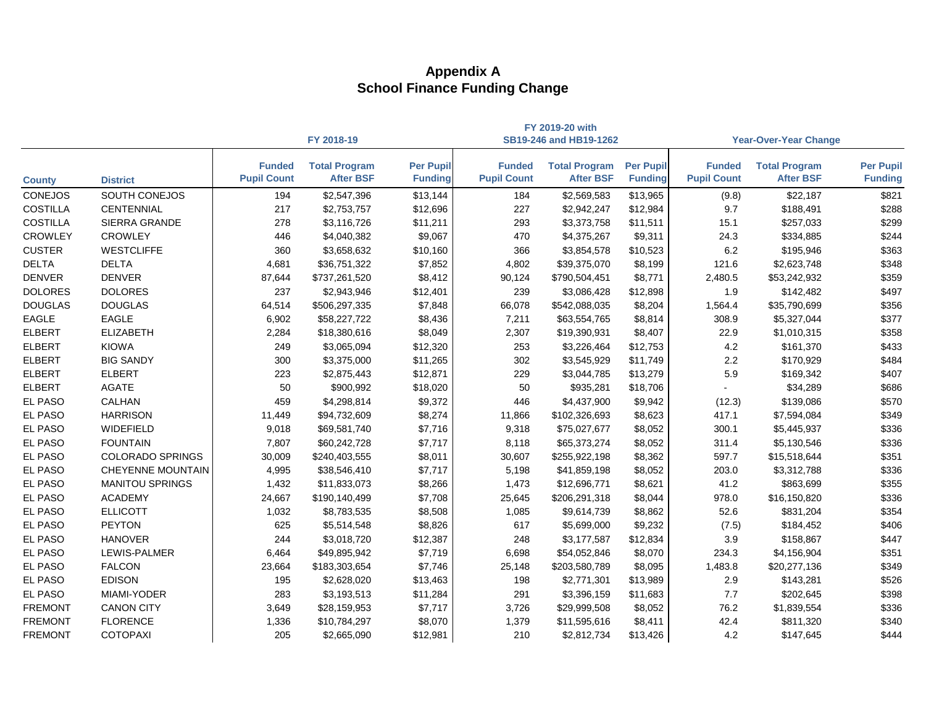|                 |                          |                                     |                                          |                                    |                                     | FY 2019-20 with                          |                                    |                                     |                                          |                                    |
|-----------------|--------------------------|-------------------------------------|------------------------------------------|------------------------------------|-------------------------------------|------------------------------------------|------------------------------------|-------------------------------------|------------------------------------------|------------------------------------|
|                 |                          |                                     | FY 2018-19                               |                                    |                                     | SB19-246 and HB19-1262                   |                                    |                                     | <b>Year-Over-Year Change</b>             |                                    |
| <b>County</b>   | <b>District</b>          | <b>Funded</b><br><b>Pupil Count</b> | <b>Total Program</b><br><b>After BSF</b> | <b>Per Pupil</b><br><b>Funding</b> | <b>Funded</b><br><b>Pupil Count</b> | <b>Total Program</b><br><b>After BSF</b> | <b>Per Pupil</b><br><b>Funding</b> | <b>Funded</b><br><b>Pupil Count</b> | <b>Total Program</b><br><b>After BSF</b> | <b>Per Pupil</b><br><b>Funding</b> |
| <b>CONEJOS</b>  | SOUTH CONEJOS            | 194                                 | \$2,547,396                              | \$13,144                           | 184                                 | \$2,569,583                              | \$13,965                           | (9.8)                               | \$22,187                                 | \$821                              |
| <b>COSTILLA</b> | <b>CENTENNIAL</b>        | 217                                 | \$2,753,757                              | \$12,696                           | 227                                 | \$2,942,247                              | \$12,984                           | 9.7                                 | \$188,491                                | \$288                              |
| <b>COSTILLA</b> | <b>SIERRA GRANDE</b>     | 278                                 | \$3,116,726                              | \$11,211                           | 293                                 | \$3,373,758                              | \$11,511                           | 15.1                                | \$257,033                                | \$299                              |
| <b>CROWLEY</b>  | <b>CROWLEY</b>           | 446                                 | \$4,040,382                              | \$9,067                            | 470                                 | \$4,375,267                              | \$9,311                            | 24.3                                | \$334,885                                | \$244                              |
| <b>CUSTER</b>   | <b>WESTCLIFFE</b>        | 360                                 | \$3,658,632                              | \$10,160                           | 366                                 | \$3,854,578                              | \$10,523                           | 6.2                                 | \$195,946                                | \$363                              |
| <b>DELTA</b>    | <b>DELTA</b>             | 4,681                               | \$36,751,322                             | \$7,852                            | 4,802                               | \$39,375,070                             | \$8,199                            | 121.6                               | \$2,623,748                              | \$348                              |
| <b>DENVER</b>   | <b>DENVER</b>            | 87,644                              | \$737,261,520                            | \$8,412                            | 90,124                              | \$790,504,451                            | \$8,771                            | 2,480.5                             | \$53,242,932                             | \$359                              |
| <b>DOLORES</b>  | <b>DOLORES</b>           | 237                                 | \$2,943,946                              | \$12,401                           | 239                                 | \$3,086,428                              | \$12,898                           | 1.9                                 | \$142,482                                | \$497                              |
| <b>DOUGLAS</b>  | <b>DOUGLAS</b>           | 64,514                              | \$506,297,335                            | \$7,848                            | 66,078                              | \$542,088,035                            | \$8,204                            | 1,564.4                             | \$35,790,699                             | \$356                              |
| <b>EAGLE</b>    | <b>EAGLE</b>             | 6,902                               | \$58,227,722                             | \$8,436                            | 7,211                               | \$63,554,765                             | \$8,814                            | 308.9                               | \$5,327,044                              | \$377                              |
| <b>ELBERT</b>   | <b>ELIZABETH</b>         | 2,284                               | \$18,380,616                             | \$8,049                            | 2,307                               | \$19,390,931                             | \$8,407                            | 22.9                                | \$1,010,315                              | \$358                              |
| <b>ELBERT</b>   | <b>KIOWA</b>             | 249                                 | \$3,065,094                              | \$12,320                           | 253                                 | \$3,226,464                              | \$12,753                           | 4.2                                 | \$161,370                                | \$433                              |
| <b>ELBERT</b>   | <b>BIG SANDY</b>         | 300                                 | \$3,375,000                              | \$11,265                           | 302                                 | \$3,545,929                              | \$11,749                           | $2.2\,$                             | \$170,929                                | \$484                              |
| <b>ELBERT</b>   | <b>ELBERT</b>            | 223                                 | \$2,875,443                              | \$12,871                           | 229                                 | \$3,044,785                              | \$13,279                           | 5.9                                 | \$169,342                                | \$407                              |
| <b>ELBERT</b>   | <b>AGATE</b>             | 50                                  | \$900,992                                | \$18,020                           | 50                                  | \$935,281                                | \$18,706                           |                                     | \$34,289                                 | \$686                              |
| <b>EL PASO</b>  | <b>CALHAN</b>            | 459                                 | \$4,298,814                              | \$9,372                            | 446                                 | \$4,437,900                              | \$9,942                            | (12.3)                              | \$139,086                                | \$570                              |
| <b>EL PASO</b>  | <b>HARRISON</b>          | 11,449                              | \$94,732,609                             | \$8,274                            | 11,866                              | \$102,326,693                            | \$8,623                            | 417.1                               | \$7,594,084                              | \$349                              |
| <b>EL PASO</b>  | WIDEFIELD                | 9,018                               | \$69,581,740                             | \$7,716                            | 9,318                               | \$75,027,677                             | \$8,052                            | 300.1                               | \$5,445,937                              | \$336                              |
| <b>EL PASO</b>  | <b>FOUNTAIN</b>          | 7,807                               | \$60,242,728                             | \$7,717                            | 8,118                               | \$65,373,274                             | \$8,052                            | 311.4                               | \$5,130,546                              | \$336                              |
| <b>EL PASO</b>  | <b>COLORADO SPRINGS</b>  | 30,009                              | \$240,403,555                            | \$8,011                            | 30,607                              | \$255,922,198                            | \$8,362                            | 597.7                               | \$15,518,644                             | \$351                              |
| <b>EL PASO</b>  | <b>CHEYENNE MOUNTAIN</b> | 4,995                               | \$38,546,410                             | \$7,717                            | 5,198                               | \$41,859,198                             | \$8,052                            | 203.0                               | \$3,312,788                              | \$336                              |
| <b>EL PASO</b>  | <b>MANITOU SPRINGS</b>   | 1,432                               | \$11,833,073                             | \$8,266                            | 1,473                               | \$12,696,771                             | \$8,621                            | 41.2                                | \$863,699                                | \$355                              |
| EL PASO         | <b>ACADEMY</b>           | 24,667                              | \$190,140,499                            | \$7,708                            | 25,645                              | \$206,291,318                            | \$8,044                            | 978.0                               | \$16,150,820                             | \$336                              |
| <b>EL PASO</b>  | <b>ELLICOTT</b>          | 1,032                               | \$8,783,535                              | \$8,508                            | 1,085                               | \$9,614,739                              | \$8,862                            | 52.6                                | \$831,204                                | \$354                              |
| <b>EL PASO</b>  | <b>PEYTON</b>            | 625                                 | \$5,514,548                              | \$8,826                            | 617                                 | \$5,699,000                              | \$9,232                            | (7.5)                               | \$184,452                                | \$406                              |
| <b>EL PASO</b>  | <b>HANOVER</b>           | 244                                 | \$3,018,720                              | \$12,387                           | 248                                 | \$3,177,587                              | \$12,834                           | 3.9                                 | \$158,867                                | \$447                              |
| <b>EL PASO</b>  | <b>LEWIS-PALMER</b>      | 6,464                               | \$49,895,942                             | \$7,719                            | 6,698                               | \$54,052,846                             | \$8,070                            | 234.3                               | \$4,156,904                              | \$351                              |
| EL PASO         | <b>FALCON</b>            | 23,664                              | \$183,303,654                            | \$7,746                            | 25,148                              | \$203,580,789                            | \$8,095                            | 1,483.8                             | \$20,277,136                             | \$349                              |
| EL PASO         | <b>EDISON</b>            | 195                                 | \$2,628,020                              | \$13,463                           | 198                                 | \$2,771,301                              | \$13,989                           | 2.9                                 | \$143,281                                | \$526                              |
| EL PASO         | MIAMI-YODER              | 283                                 | \$3,193,513                              | \$11,284                           | 291                                 | \$3,396,159                              | \$11,683                           | 7.7                                 | \$202,645                                | \$398                              |
| <b>FREMONT</b>  | <b>CANON CITY</b>        | 3,649                               | \$28,159,953                             | \$7,717                            | 3,726                               | \$29,999,508                             | \$8,052                            | 76.2                                | \$1,839,554                              | \$336                              |
| <b>FREMONT</b>  | <b>FLORENCE</b>          | 1,336                               | \$10,784,297                             | \$8,070                            | 1,379                               | \$11,595,616                             | \$8,411                            | 42.4                                | \$811,320                                | \$340                              |
| <b>FREMONT</b>  | <b>COTOPAXI</b>          | 205                                 | \$2,665,090                              | \$12,981                           | 210                                 | \$2,812,734                              | \$13,426                           | 4.2                                 | \$147,645                                | \$444                              |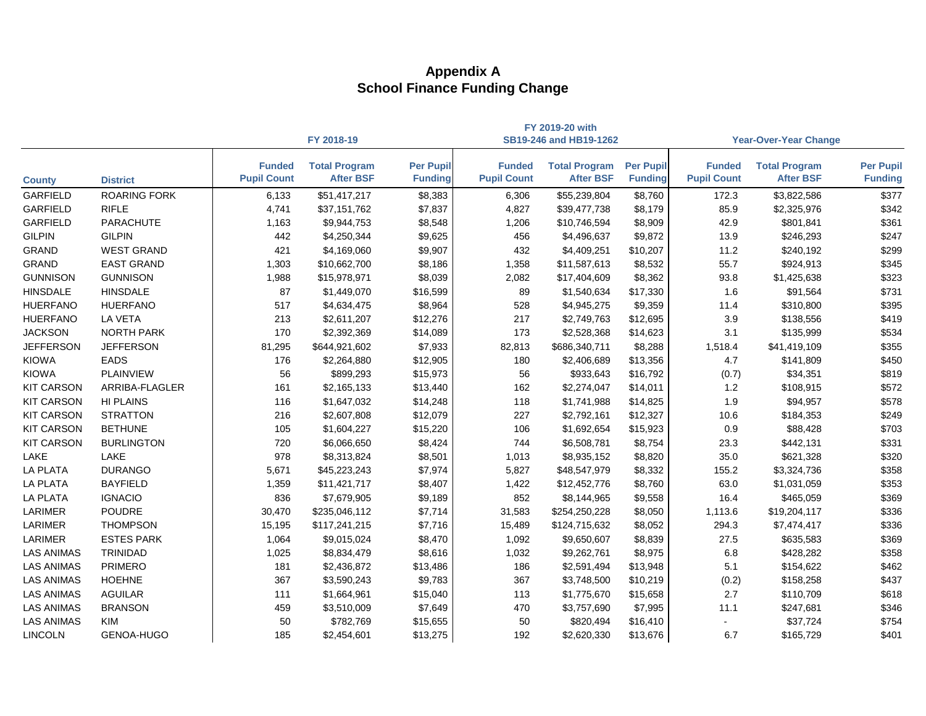|                   |                     |                                     | FY 2019-20 with                          |                                    |                                     |                                          |                                    |                                     |                                          |                                    |
|-------------------|---------------------|-------------------------------------|------------------------------------------|------------------------------------|-------------------------------------|------------------------------------------|------------------------------------|-------------------------------------|------------------------------------------|------------------------------------|
|                   |                     |                                     | FY 2018-19                               |                                    |                                     | SB19-246 and HB19-1262                   |                                    |                                     | <b>Year-Over-Year Change</b>             |                                    |
| <b>County</b>     | <b>District</b>     | <b>Funded</b><br><b>Pupil Count</b> | <b>Total Program</b><br><b>After BSF</b> | <b>Per Pupil</b><br><b>Funding</b> | <b>Funded</b><br><b>Pupil Count</b> | <b>Total Program</b><br><b>After BSF</b> | <b>Per Pupil</b><br><b>Funding</b> | <b>Funded</b><br><b>Pupil Count</b> | <b>Total Program</b><br><b>After BSF</b> | <b>Per Pupil</b><br><b>Funding</b> |
| <b>GARFIELD</b>   | <b>ROARING FORK</b> | 6,133                               | \$51,417,217                             | \$8,383                            | 6,306                               | \$55,239,804                             | \$8,760                            | 172.3                               | \$3,822,586                              | \$377                              |
| <b>GARFIELD</b>   | <b>RIFLE</b>        | 4,741                               | \$37,151,762                             | \$7,837                            | 4,827                               | \$39,477,738                             | \$8,179                            | 85.9                                | \$2,325,976                              | \$342                              |
| <b>GARFIELD</b>   | <b>PARACHUTE</b>    | 1,163                               | \$9,944,753                              | \$8,548                            | 1,206                               | \$10,746,594                             | \$8,909                            | 42.9                                | \$801,841                                | \$361                              |
| <b>GILPIN</b>     | <b>GILPIN</b>       | 442                                 | \$4,250,344                              | \$9,625                            | 456                                 | \$4,496,637                              | \$9,872                            | 13.9                                | \$246,293                                | \$247                              |
| <b>GRAND</b>      | <b>WEST GRAND</b>   | 421                                 | \$4,169,060                              | \$9,907                            | 432                                 | \$4,409,251                              | \$10,207                           | 11.2                                | \$240,192                                | \$299                              |
| <b>GRAND</b>      | <b>EAST GRAND</b>   | 1,303                               | \$10,662,700                             | \$8,186                            | 1,358                               | \$11,587,613                             | \$8,532                            | 55.7                                | \$924,913                                | \$345                              |
| <b>GUNNISON</b>   | <b>GUNNISON</b>     | 1,988                               | \$15,978,971                             | \$8,039                            | 2,082                               | \$17,404,609                             | \$8,362                            | 93.8                                | \$1,425,638                              | \$323                              |
| <b>HINSDALE</b>   | <b>HINSDALE</b>     | 87                                  | \$1,449,070                              | \$16,599                           | 89                                  | \$1,540,634                              | \$17,330                           | 1.6                                 | \$91,564                                 | \$731                              |
| <b>HUERFANO</b>   | <b>HUERFANO</b>     | 517                                 | \$4,634,475                              | \$8,964                            | 528                                 | \$4,945,275                              | \$9,359                            | 11.4                                | \$310,800                                | \$395                              |
| <b>HUERFANO</b>   | <b>LA VETA</b>      | 213                                 | \$2,611,207                              | \$12,276                           | 217                                 | \$2,749,763                              | \$12,695                           | 3.9                                 | \$138,556                                | \$419                              |
| <b>JACKSON</b>    | <b>NORTH PARK</b>   | 170                                 | \$2,392,369                              | \$14,089                           | 173                                 | \$2,528,368                              | \$14,623                           | 3.1                                 | \$135,999                                | \$534                              |
| <b>JEFFERSON</b>  | <b>JEFFERSON</b>    | 81,295                              | \$644,921,602                            | \$7,933                            | 82,813                              | \$686,340,711                            | \$8,288                            | 1,518.4                             | \$41,419,109                             | \$355                              |
| <b>KIOWA</b>      | <b>EADS</b>         | 176                                 | \$2,264,880                              | \$12,905                           | 180                                 | \$2,406,689                              | \$13,356                           | 4.7                                 | \$141,809                                | \$450                              |
| <b>KIOWA</b>      | <b>PLAINVIEW</b>    | 56                                  | \$899,293                                | \$15,973                           | 56                                  | \$933,643                                | \$16,792                           | (0.7)                               | \$34,351                                 | \$819                              |
| <b>KIT CARSON</b> | ARRIBA-FLAGLER      | 161                                 | \$2,165,133                              | \$13,440                           | 162                                 | \$2,274,047                              | \$14,011                           | 1.2                                 | \$108,915                                | \$572                              |
| <b>KIT CARSON</b> | <b>HI PLAINS</b>    | 116                                 | \$1,647,032                              | \$14,248                           | 118                                 | \$1,741,988                              | \$14,825                           | 1.9                                 | \$94,957                                 | \$578                              |
| <b>KIT CARSON</b> | <b>STRATTON</b>     | 216                                 | \$2,607,808                              | \$12,079                           | 227                                 | \$2,792,161                              | \$12,327                           | 10.6                                | \$184,353                                | \$249                              |
| <b>KIT CARSON</b> | <b>BETHUNE</b>      | 105                                 | \$1,604,227                              | \$15,220                           | 106                                 | \$1,692,654                              | \$15,923                           | 0.9                                 | \$88,428                                 | \$703                              |
| <b>KIT CARSON</b> | <b>BURLINGTON</b>   | 720                                 | \$6,066,650                              | \$8,424                            | 744                                 | \$6,508,781                              | \$8,754                            | 23.3                                | \$442,131                                | \$331                              |
| LAKE              | <b>LAKE</b>         | 978                                 | \$8,313,824                              | \$8,501                            | 1,013                               | \$8,935,152                              | \$8,820                            | 35.0                                | \$621,328                                | \$320                              |
| <b>LA PLATA</b>   | <b>DURANGO</b>      | 5,671                               | \$45,223,243                             | \$7,974                            | 5,827                               | \$48,547,979                             | \$8,332                            | 155.2                               | \$3,324,736                              | \$358                              |
| <b>LA PLATA</b>   | <b>BAYFIELD</b>     | 1,359                               | \$11,421,717                             | \$8,407                            | 1,422                               | \$12,452,776                             | \$8,760                            | 63.0                                | \$1,031,059                              | \$353                              |
| <b>LA PLATA</b>   | <b>IGNACIO</b>      | 836                                 | \$7,679,905                              | \$9,189                            | 852                                 | \$8,144,965                              | \$9,558                            | 16.4                                | \$465,059                                | \$369                              |
| <b>LARIMER</b>    | <b>POUDRE</b>       | 30,470                              | \$235,046,112                            | \$7,714                            | 31,583                              | \$254,250,228                            | \$8,050                            | 1,113.6                             | \$19,204,117                             | \$336                              |
| LARIMER           | <b>THOMPSON</b>     | 15,195                              | \$117,241,215                            | \$7,716                            | 15,489                              | \$124,715,632                            | \$8,052                            | 294.3                               | \$7,474,417                              | \$336                              |
| <b>LARIMER</b>    | <b>ESTES PARK</b>   | 1,064                               | \$9,015,024                              | \$8,470                            | 1,092                               | \$9,650,607                              | \$8,839                            | 27.5                                | \$635,583                                | \$369                              |
| <b>LAS ANIMAS</b> | <b>TRINIDAD</b>     | 1,025                               | \$8,834,479                              | \$8,616                            | 1,032                               | \$9,262,761                              | \$8,975                            | 6.8                                 | \$428,282                                | \$358                              |
| <b>LAS ANIMAS</b> | <b>PRIMERO</b>      | 181                                 | \$2,436,872                              | \$13,486                           | 186                                 | \$2,591,494                              | \$13,948                           | 5.1                                 | \$154,622                                | \$462                              |
| <b>LAS ANIMAS</b> | <b>HOEHNE</b>       | 367                                 | \$3,590,243                              | \$9,783                            | 367                                 | \$3,748,500                              | \$10,219                           | (0.2)                               | \$158,258                                | \$437                              |
| <b>LAS ANIMAS</b> | <b>AGUILAR</b>      | 111                                 | \$1,664,961                              | \$15,040                           | 113                                 | \$1,775,670                              | \$15,658                           | 2.7                                 | \$110,709                                | \$618                              |
| <b>LAS ANIMAS</b> | <b>BRANSON</b>      | 459                                 | \$3,510,009                              | \$7,649                            | 470                                 | \$3,757,690                              | \$7,995                            | 11.1                                | \$247,681                                | \$346                              |
| <b>LAS ANIMAS</b> | KIM                 | 50                                  | \$782,769                                | \$15,655                           | 50                                  | \$820,494                                | \$16,410                           |                                     | \$37,724                                 | \$754                              |
| <b>LINCOLN</b>    | GENOA-HUGO          | 185                                 | \$2,454,601                              | \$13,275                           | 192                                 | \$2,620,330                              | \$13,676                           | 6.7                                 | \$165,729                                | \$401                              |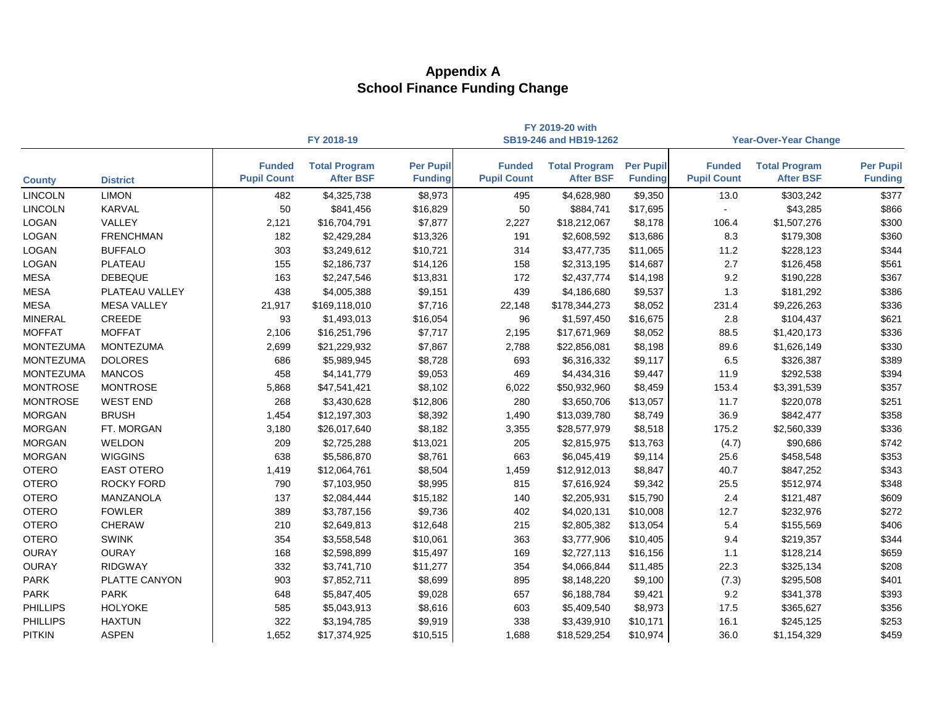|                  |                    |                                     |                                          |                                    |                                     | FY 2019-20 with                          |                                    |                                     |                                          |                                    |
|------------------|--------------------|-------------------------------------|------------------------------------------|------------------------------------|-------------------------------------|------------------------------------------|------------------------------------|-------------------------------------|------------------------------------------|------------------------------------|
|                  |                    |                                     | FY 2018-19                               |                                    |                                     | SB19-246 and HB19-1262                   |                                    |                                     | <b>Year-Over-Year Change</b>             |                                    |
| <b>County</b>    | <b>District</b>    | <b>Funded</b><br><b>Pupil Count</b> | <b>Total Program</b><br><b>After BSF</b> | <b>Per Pupil</b><br><b>Funding</b> | <b>Funded</b><br><b>Pupil Count</b> | <b>Total Program</b><br><b>After BSF</b> | <b>Per Pupil</b><br><b>Funding</b> | <b>Funded</b><br><b>Pupil Count</b> | <b>Total Program</b><br><b>After BSF</b> | <b>Per Pupil</b><br><b>Funding</b> |
| <b>LINCOLN</b>   | <b>LIMON</b>       | 482                                 | \$4,325,738                              | \$8,973                            | 495                                 | \$4,628,980                              | \$9,350                            | 13.0                                | \$303,242                                | \$377                              |
| <b>LINCOLN</b>   | KARVAL             | 50                                  | \$841,456                                | \$16,829                           | 50                                  | \$884,741                                | \$17,695                           |                                     | \$43,285                                 | \$866                              |
| <b>LOGAN</b>     | VALLEY             | 2,121                               | \$16,704,791                             | \$7,877                            | 2,227                               | \$18,212,067                             | \$8,178                            | 106.4                               | \$1,507,276                              | \$300                              |
| <b>LOGAN</b>     | <b>FRENCHMAN</b>   | 182                                 | \$2,429,284                              | \$13,326                           | 191                                 | \$2,608,592                              | \$13,686                           | 8.3                                 | \$179,308                                | \$360                              |
| <b>LOGAN</b>     | <b>BUFFALO</b>     | 303                                 | \$3,249,612                              | \$10,721                           | 314                                 | \$3,477,735                              | \$11,065                           | 11.2                                | \$228,123                                | \$344                              |
| <b>LOGAN</b>     | PLATEAU            | 155                                 | \$2,186,737                              | \$14,126                           | 158                                 | \$2,313,195                              | \$14,687                           | 2.7                                 | \$126,458                                | \$561                              |
| <b>MESA</b>      | <b>DEBEQUE</b>     | 163                                 | \$2,247,546                              | \$13,831                           | 172                                 | \$2,437,774                              | \$14,198                           | 9.2                                 | \$190,228                                | \$367                              |
| <b>MESA</b>      | PLATEAU VALLEY     | 438                                 | \$4,005,388                              | \$9,151                            | 439                                 | \$4,186,680                              | \$9,537                            | 1.3                                 | \$181,292                                | \$386                              |
| <b>MESA</b>      | <b>MESA VALLEY</b> | 21,917                              | \$169,118,010                            | \$7,716                            | 22,148                              | \$178,344,273                            | \$8,052                            | 231.4                               | \$9,226,263                              | \$336                              |
| <b>MINERAL</b>   | <b>CREEDE</b>      | 93                                  | \$1,493,013                              | \$16,054                           | 96                                  | \$1,597,450                              | \$16,675                           | 2.8                                 | \$104,437                                | \$621                              |
| <b>MOFFAT</b>    | <b>MOFFAT</b>      | 2,106                               | \$16,251,796                             | \$7,717                            | 2,195                               | \$17,671,969                             | \$8,052                            | 88.5                                | \$1,420,173                              | \$336                              |
| <b>MONTEZUMA</b> | <b>MONTEZUMA</b>   | 2,699                               | \$21,229,932                             | \$7,867                            | 2,788                               | \$22,856,081                             | \$8,198                            | 89.6                                | \$1,626,149                              | \$330                              |
| <b>MONTEZUMA</b> | <b>DOLORES</b>     | 686                                 | \$5,989,945                              | \$8,728                            | 693                                 | \$6,316,332                              | \$9,117                            | 6.5                                 | \$326,387                                | \$389                              |
| <b>MONTEZUMA</b> | <b>MANCOS</b>      | 458                                 | \$4,141,779                              | \$9,053                            | 469                                 | \$4,434,316                              | \$9,447                            | 11.9                                | \$292,538                                | \$394                              |
| <b>MONTROSE</b>  | <b>MONTROSE</b>    | 5,868                               | \$47,541,421                             | \$8,102                            | 6,022                               | \$50,932,960                             | \$8,459                            | 153.4                               | \$3,391,539                              | \$357                              |
| <b>MONTROSE</b>  | <b>WEST END</b>    | 268                                 | \$3,430,628                              | \$12,806                           | 280                                 | \$3,650,706                              | \$13,057                           | 11.7                                | \$220,078                                | \$251                              |
| <b>MORGAN</b>    | <b>BRUSH</b>       | 1,454                               | \$12,197,303                             | \$8,392                            | 1,490                               | \$13,039,780                             | \$8,749                            | 36.9                                | \$842,477                                | \$358                              |
| <b>MORGAN</b>    | FT. MORGAN         | 3,180                               | \$26,017,640                             | \$8,182                            | 3,355                               | \$28,577,979                             | \$8,518                            | 175.2                               | \$2,560,339                              | \$336                              |
| <b>MORGAN</b>    | <b>WELDON</b>      | 209                                 | \$2,725,288                              | \$13,021                           | 205                                 | \$2,815,975                              | \$13,763                           | (4.7)                               | \$90,686                                 | \$742                              |
| <b>MORGAN</b>    | <b>WIGGINS</b>     | 638                                 | \$5,586,870                              | \$8,761                            | 663                                 | \$6,045,419                              | \$9,114                            | 25.6                                | \$458,548                                | \$353                              |
| <b>OTERO</b>     | <b>EAST OTERO</b>  | 1,419                               | \$12,064,761                             | \$8,504                            | 1,459                               | \$12,912,013                             | \$8,847                            | 40.7                                | \$847,252                                | \$343                              |
| <b>OTERO</b>     | <b>ROCKY FORD</b>  | 790                                 | \$7,103,950                              | \$8,995                            | 815                                 | \$7,616,924                              | \$9,342                            | 25.5                                | \$512,974                                | \$348                              |
| <b>OTERO</b>     | MANZANOLA          | 137                                 | \$2,084,444                              | \$15,182                           | 140                                 | \$2,205,931                              | \$15,790                           | 2.4                                 | \$121,487                                | \$609                              |
| <b>OTERO</b>     | <b>FOWLER</b>      | 389                                 | \$3,787,156                              | \$9,736                            | 402                                 | \$4,020,131                              | \$10,008                           | 12.7                                | \$232,976                                | \$272                              |
| <b>OTERO</b>     | <b>CHERAW</b>      | 210                                 | \$2,649,813                              | \$12,648                           | 215                                 | \$2,805,382                              | \$13,054                           | 5.4                                 | \$155,569                                | \$406                              |
| <b>OTERO</b>     | <b>SWINK</b>       | 354                                 | \$3,558,548                              | \$10,061                           | 363                                 | \$3,777,906                              | \$10,405                           | 9.4                                 | \$219,357                                | \$344                              |
| <b>OURAY</b>     | <b>OURAY</b>       | 168                                 | \$2,598,899                              | \$15,497                           | 169                                 | \$2,727,113                              | \$16,156                           | 1.1                                 | \$128,214                                | \$659                              |
| <b>OURAY</b>     | RIDGWAY            | 332                                 | \$3,741,710                              | \$11,277                           | 354                                 | \$4,066,844                              | \$11,485                           | 22.3                                | \$325,134                                | \$208                              |
| <b>PARK</b>      | PLATTE CANYON      | 903                                 | \$7,852,711                              | \$8,699                            | 895                                 | \$8,148,220                              | \$9,100                            | (7.3)                               | \$295,508                                | \$401                              |
| <b>PARK</b>      | <b>PARK</b>        | 648                                 | \$5,847,405                              | \$9,028                            | 657                                 | \$6,188,784                              | \$9,421                            | 9.2                                 | \$341,378                                | \$393                              |
| <b>PHILLIPS</b>  | <b>HOLYOKE</b>     | 585                                 | \$5,043,913                              | \$8,616                            | 603                                 | \$5,409,540                              | \$8,973                            | 17.5                                | \$365,627                                | \$356                              |
| <b>PHILLIPS</b>  | <b>HAXTUN</b>      | 322                                 | \$3,194,785                              | \$9,919                            | 338                                 | \$3,439,910                              | \$10,171                           | 16.1                                | \$245,125                                | \$253                              |
| <b>PITKIN</b>    | <b>ASPEN</b>       | 1,652                               | \$17,374,925                             | \$10,515                           | 1,688                               | \$18,529,254                             | \$10,974                           | 36.0                                | \$1,154,329                              | \$459                              |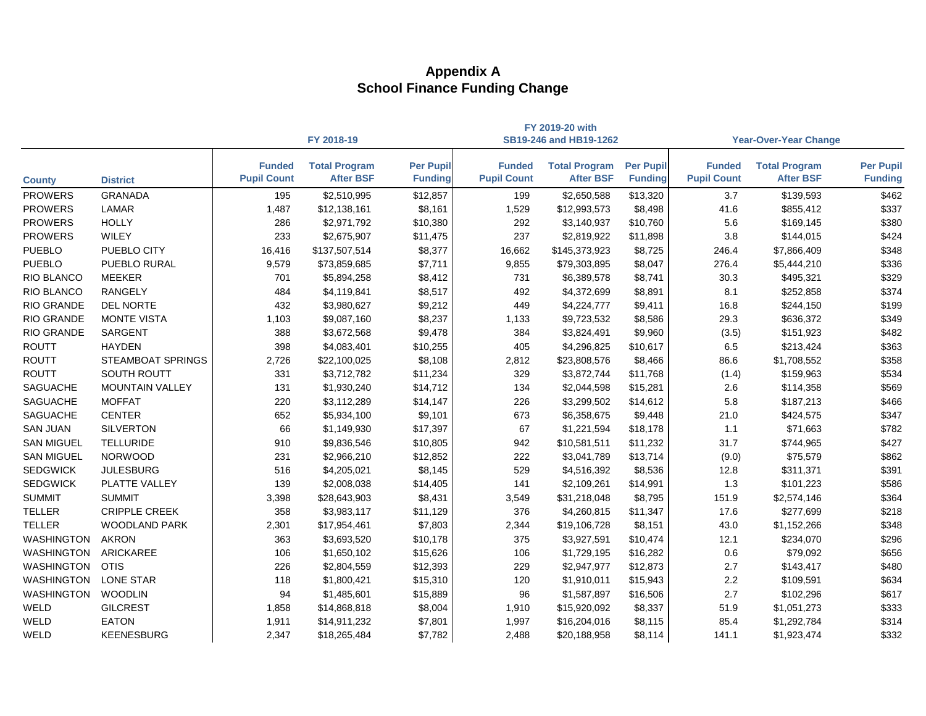|                   |                          |                                     |                                          |                                    |                                     | FY 2019-20 with                          |                                    |                                     |                                          |                                    |
|-------------------|--------------------------|-------------------------------------|------------------------------------------|------------------------------------|-------------------------------------|------------------------------------------|------------------------------------|-------------------------------------|------------------------------------------|------------------------------------|
|                   |                          |                                     | FY 2018-19                               |                                    |                                     | SB19-246 and HB19-1262                   |                                    |                                     | <b>Year-Over-Year Change</b>             |                                    |
| <b>County</b>     | <b>District</b>          | <b>Funded</b><br><b>Pupil Count</b> | <b>Total Program</b><br><b>After BSF</b> | <b>Per Pupil</b><br><b>Funding</b> | <b>Funded</b><br><b>Pupil Count</b> | <b>Total Program</b><br><b>After BSF</b> | <b>Per Pupil</b><br><b>Funding</b> | <b>Funded</b><br><b>Pupil Count</b> | <b>Total Program</b><br><b>After BSF</b> | <b>Per Pupil</b><br><b>Funding</b> |
| <b>PROWERS</b>    | <b>GRANADA</b>           | 195                                 | \$2,510,995                              | \$12,857                           | 199                                 | \$2,650,588                              | \$13,320                           | 3.7                                 | \$139,593                                | \$462                              |
| <b>PROWERS</b>    | <b>LAMAR</b>             | 1,487                               | \$12,138,161                             | \$8,161                            | 1,529                               | \$12,993,573                             | \$8,498                            | 41.6                                | \$855,412                                | \$337                              |
| <b>PROWERS</b>    | <b>HOLLY</b>             | 286                                 | \$2,971,792                              | \$10,380                           | 292                                 | \$3,140,937                              | \$10,760                           | 5.6                                 | \$169,145                                | \$380                              |
| <b>PROWERS</b>    | <b>WILEY</b>             | 233                                 | \$2,675,907                              | \$11,475                           | 237                                 | \$2,819,922                              | \$11,898                           | 3.8                                 | \$144,015                                | \$424                              |
| <b>PUEBLO</b>     | PUEBLO CITY              | 16,416                              | \$137,507,514                            | \$8,377                            | 16,662                              | \$145,373,923                            | \$8,725                            | 246.4                               | \$7,866,409                              | \$348                              |
| <b>PUEBLO</b>     | <b>PUEBLO RURAL</b>      | 9,579                               | \$73,859,685                             | \$7,711                            | 9,855                               | \$79,303,895                             | \$8,047                            | 276.4                               | \$5,444,210                              | \$336                              |
| RIO BLANCO        | <b>MEEKER</b>            | 701                                 | \$5,894,258                              | \$8,412                            | 731                                 | \$6,389,578                              | \$8,741                            | 30.3                                | \$495,321                                | \$329                              |
| <b>RIO BLANCO</b> | <b>RANGELY</b>           | 484                                 | \$4,119,841                              | \$8,517                            | 492                                 | \$4,372,699                              | \$8,891                            | 8.1                                 | \$252,858                                | \$374                              |
| <b>RIO GRANDE</b> | <b>DEL NORTE</b>         | 432                                 | \$3,980,627                              | \$9,212                            | 449                                 | \$4,224,777                              | \$9,411                            | 16.8                                | \$244,150                                | \$199                              |
| RIO GRANDE        | <b>MONTE VISTA</b>       | 1,103                               | \$9,087,160                              | \$8,237                            | 1,133                               | \$9,723,532                              | \$8,586                            | 29.3                                | \$636,372                                | \$349                              |
| <b>RIO GRANDE</b> | <b>SARGENT</b>           | 388                                 | \$3,672,568                              | \$9,478                            | 384                                 | \$3,824,491                              | \$9,960                            | (3.5)                               | \$151,923                                | \$482                              |
| <b>ROUTT</b>      | <b>HAYDEN</b>            | 398                                 | \$4,083,401                              | \$10,255                           | 405                                 | \$4,296,825                              | \$10,617                           | 6.5                                 | \$213,424                                | \$363                              |
| <b>ROUTT</b>      | <b>STEAMBOAT SPRINGS</b> | 2,726                               | \$22,100,025                             | \$8,108                            | 2,812                               | \$23,808,576                             | \$8,466                            | 86.6                                | \$1,708,552                              | \$358                              |
| <b>ROUTT</b>      | <b>SOUTH ROUTT</b>       | 331                                 | \$3,712,782                              | \$11,234                           | 329                                 | \$3,872,744                              | \$11,768                           | (1.4)                               | \$159,963                                | \$534                              |
| <b>SAGUACHE</b>   | <b>MOUNTAIN VALLEY</b>   | 131                                 | \$1,930,240                              | \$14,712                           | 134                                 | \$2,044,598                              | \$15,281                           | 2.6                                 | \$114,358                                | \$569                              |
| <b>SAGUACHE</b>   | <b>MOFFAT</b>            | 220                                 | \$3,112,289                              | \$14,147                           | 226                                 | \$3,299,502                              | \$14,612                           | 5.8                                 | \$187,213                                | \$466                              |
| <b>SAGUACHE</b>   | <b>CENTER</b>            | 652                                 | \$5,934,100                              | \$9,101                            | 673                                 | \$6,358,675                              | \$9,448                            | 21.0                                | \$424,575                                | \$347                              |
| <b>SAN JUAN</b>   | <b>SILVERTON</b>         | 66                                  | \$1,149,930                              | \$17,397                           | 67                                  | \$1,221,594                              | \$18,178                           | 1.1                                 | \$71,663                                 | \$782                              |
| <b>SAN MIGUEL</b> | <b>TELLURIDE</b>         | 910                                 | \$9,836,546                              | \$10,805                           | 942                                 | \$10,581,511                             | \$11,232                           | 31.7                                | \$744,965                                | \$427                              |
| <b>SAN MIGUEL</b> | <b>NORWOOD</b>           | 231                                 | \$2,966,210                              | \$12,852                           | 222                                 | \$3,041,789                              | \$13,714                           | (9.0)                               | \$75,579                                 | \$862                              |
| <b>SEDGWICK</b>   | <b>JULESBURG</b>         | 516                                 | \$4,205,021                              | \$8,145                            | 529                                 | \$4,516,392                              | \$8,536                            | 12.8                                | \$311,371                                | \$391                              |
| <b>SEDGWICK</b>   | PLATTE VALLEY            | 139                                 | \$2,008,038                              | \$14,405                           | 141                                 | \$2,109,261                              | \$14,991                           | 1.3                                 | \$101,223                                | \$586                              |
| <b>SUMMIT</b>     | <b>SUMMIT</b>            | 3,398                               | \$28,643,903                             | \$8,431                            | 3,549                               | \$31,218,048                             | \$8,795                            | 151.9                               | \$2,574,146                              | \$364                              |
| <b>TELLER</b>     | <b>CRIPPLE CREEK</b>     | 358                                 | \$3,983,117                              | \$11,129                           | 376                                 | \$4,260,815                              | \$11,347                           | 17.6                                | \$277,699                                | \$218                              |
| <b>TELLER</b>     | <b>WOODLAND PARK</b>     | 2,301                               | \$17,954,461                             | \$7,803                            | 2,344                               | \$19,106,728                             | \$8,151                            | 43.0                                | \$1,152,266                              | \$348                              |
| <b>WASHINGTON</b> | <b>AKRON</b>             | 363                                 | \$3,693,520                              | \$10,178                           | 375                                 | \$3,927,591                              | \$10,474                           | 12.1                                | \$234,070                                | \$296                              |
| WASHINGTON        | <b>ARICKAREE</b>         | 106                                 | \$1,650,102                              | \$15,626                           | 106                                 | \$1,729,195                              | \$16,282                           | 0.6                                 | \$79,092                                 | \$656                              |
| WASHINGTON OTIS   |                          | 226                                 | \$2,804,559                              | \$12,393                           | 229                                 | \$2,947,977                              | \$12,873                           | 2.7                                 | \$143,417                                | \$480                              |
| WASHINGTON        | LONE STAR                | 118                                 | \$1,800,421                              | \$15,310                           | 120                                 | \$1,910,011                              | \$15,943                           | 2.2                                 | \$109,591                                | \$634                              |
| <b>WASHINGTON</b> | <b>WOODLIN</b>           | 94                                  | \$1,485,601                              | \$15,889                           | 96                                  | \$1,587,897                              | \$16,506                           | 2.7                                 | \$102,296                                | \$617                              |
| WELD              | <b>GILCREST</b>          | 1,858                               | \$14,868,818                             | \$8,004                            | 1,910                               | \$15,920,092                             | \$8,337                            | 51.9                                | \$1,051,273                              | \$333                              |
| WELD              | <b>EATON</b>             | 1,911                               | \$14,911,232                             | \$7,801                            | 1,997                               | \$16,204,016                             | \$8,115                            | 85.4                                | \$1,292,784                              | \$314                              |
| WELD              | <b>KEENESBURG</b>        | 2,347                               | \$18,265,484                             | \$7,782                            | 2,488                               | \$20,188,958                             | \$8,114                            | 141.1                               | \$1,923,474                              | \$332                              |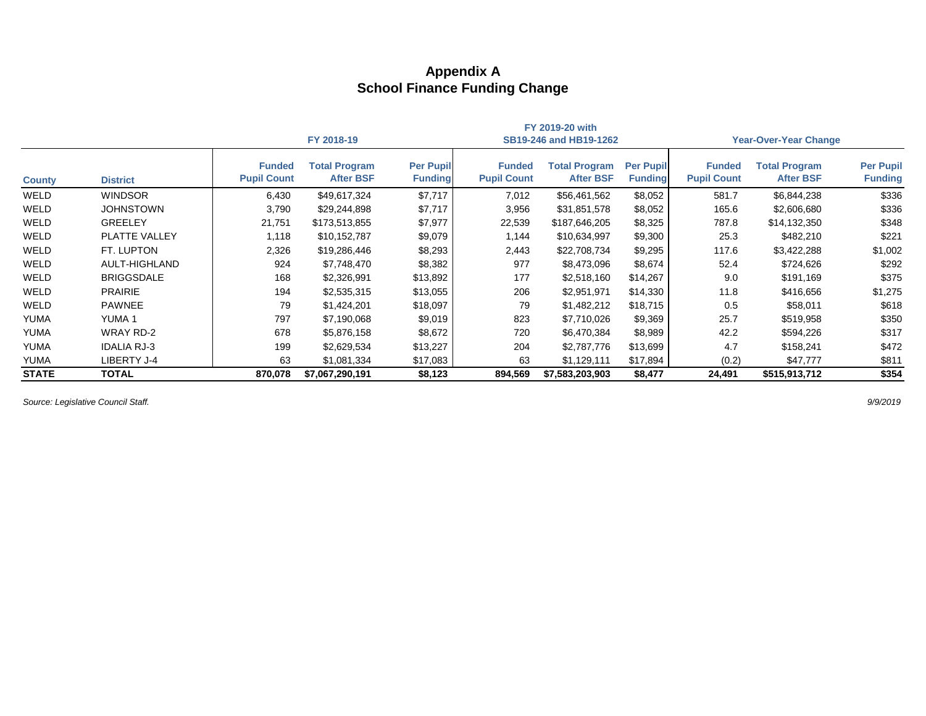|               |                      |                                     |                                          |                                    |                                     | FY 2019-20 with                          |                                    |                                     |                                          |                                    |  |
|---------------|----------------------|-------------------------------------|------------------------------------------|------------------------------------|-------------------------------------|------------------------------------------|------------------------------------|-------------------------------------|------------------------------------------|------------------------------------|--|
|               |                      |                                     | FY 2018-19                               |                                    |                                     | SB19-246 and HB19-1262                   |                                    |                                     | <b>Year-Over-Year Change</b>             |                                    |  |
| <b>County</b> | <b>District</b>      | <b>Funded</b><br><b>Pupil Count</b> | <b>Total Program</b><br><b>After BSF</b> | <b>Per Pupil</b><br><b>Funding</b> | <b>Funded</b><br><b>Pupil Count</b> | <b>Total Program</b><br><b>After BSF</b> | <b>Per Pupil</b><br><b>Funding</b> | <b>Funded</b><br><b>Pupil Count</b> | <b>Total Program</b><br><b>After BSF</b> | <b>Per Pupil</b><br><b>Funding</b> |  |
| WELD          | <b>WINDSOR</b>       | 6,430                               | \$49,617,324                             | \$7,717                            | 7,012                               | \$56,461,562                             | \$8,052                            | 581.7                               | \$6,844,238                              | \$336                              |  |
| WELD          | <b>JOHNSTOWN</b>     | 3,790                               | \$29,244,898                             | \$7,717                            | 3,956                               | \$31,851,578                             | \$8,052                            | 165.6                               | \$2,606,680                              | \$336                              |  |
| WELD          | <b>GREELEY</b>       | 21,751                              | \$173,513,855                            | \$7,977                            | 22,539                              | \$187,646,205                            | \$8,325                            | 787.8                               | \$14,132,350                             | \$348                              |  |
| WELD          | PLATTE VALLEY        | 1,118                               | \$10,152,787                             | \$9,079                            | 1,144                               | \$10,634,997                             | \$9,300                            | 25.3                                | \$482,210                                | \$221                              |  |
| WELD          | FT. LUPTON           | 2,326                               | \$19,286,446                             | \$8,293                            | 2,443                               | \$22,708,734                             | \$9,295                            | 117.6                               | \$3,422,288                              | \$1,002                            |  |
| WELD          | <b>AULT-HIGHLAND</b> | 924                                 | \$7,748,470                              | \$8,382                            | 977                                 | \$8,473,096                              | \$8,674                            | 52.4                                | \$724,626                                | \$292                              |  |
| WELD          | <b>BRIGGSDALE</b>    | 168                                 | \$2,326,991                              | \$13,892                           | 177                                 | \$2,518,160                              | \$14,267                           | 9.0                                 | \$191,169                                | \$375                              |  |
| WELD          | <b>PRAIRIE</b>       | 194                                 | \$2,535,315                              | \$13,055                           | 206                                 | \$2,951,971                              | \$14,330                           | 11.8                                | \$416,656                                | \$1,275                            |  |
| WELD          | <b>PAWNEE</b>        | 79                                  | \$1,424,201                              | \$18,097                           | 79                                  | \$1,482,212                              | \$18,715                           | 0.5                                 | \$58,011                                 | \$618                              |  |
| <b>YUMA</b>   | <b>YUMA1</b>         | 797                                 | \$7,190,068                              | \$9,019                            | 823                                 | \$7,710,026                              | \$9,369                            | 25.7                                | \$519,958                                | \$350                              |  |
| <b>YUMA</b>   | <b>WRAY RD-2</b>     | 678                                 | \$5,876,158                              | \$8,672                            | 720                                 | \$6,470,384                              | \$8,989                            | 42.2                                | \$594,226                                | \$317                              |  |
| YUMA          | <b>IDALIA RJ-3</b>   | 199                                 | \$2,629,534                              | \$13,227                           | 204                                 | \$2,787,776                              | \$13,699                           | 4.7                                 | \$158,241                                | \$472                              |  |
| <b>YUMA</b>   | LIBERTY J-4          | 63                                  | \$1,081,334                              | \$17,083                           | 63                                  | \$1,129,111                              | \$17,894                           | (0.2)                               | \$47,777                                 | \$811                              |  |
| <b>STATE</b>  | <b>TOTAL</b>         | 870,078                             | \$7,067,290,191                          | \$8,123                            | 894,569                             | \$7,583,203,903                          | \$8,477                            | 24,491                              | \$515,913,712                            | \$354                              |  |

*Source: Legislative Council Staff. 9/9/2019*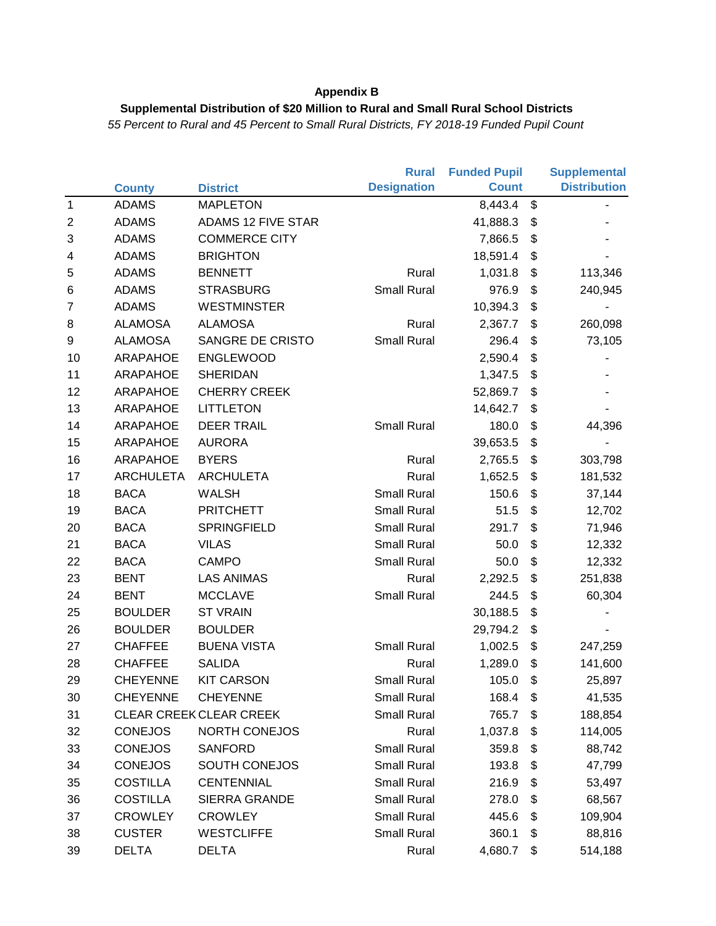### **Supplemental Distribution of \$20 Million to Rural and Small Rural School Districts**

|                         |                  |                                | <b>Rural</b>       | <b>Funded Pupil</b> | <b>Supplemental</b> |                     |
|-------------------------|------------------|--------------------------------|--------------------|---------------------|---------------------|---------------------|
|                         | <b>County</b>    | <b>District</b>                | <b>Designation</b> | <b>Count</b>        |                     | <b>Distribution</b> |
| $\mathbf{1}$            | <b>ADAMS</b>     | <b>MAPLETON</b>                |                    | 8,443.4             | \$                  |                     |
| $\overline{c}$          | <b>ADAMS</b>     | ADAMS 12 FIVE STAR             |                    | 41,888.3            | \$                  |                     |
| 3                       | <b>ADAMS</b>     | <b>COMMERCE CITY</b>           |                    | 7,866.5             | \$                  |                     |
| $\overline{\mathbf{4}}$ | <b>ADAMS</b>     | <b>BRIGHTON</b>                |                    | 18,591.4            | \$                  |                     |
| 5                       | <b>ADAMS</b>     | <b>BENNETT</b>                 | Rural              | 1,031.8             | \$                  | 113,346             |
| 6                       | <b>ADAMS</b>     | <b>STRASBURG</b>               | <b>Small Rural</b> | 976.9               | \$                  | 240,945             |
| $\overline{7}$          | <b>ADAMS</b>     | <b>WESTMINSTER</b>             |                    | 10,394.3            | \$                  |                     |
| 8                       | <b>ALAMOSA</b>   | <b>ALAMOSA</b>                 | Rural              | 2,367.7             | \$                  | 260,098             |
| 9                       | <b>ALAMOSA</b>   | SANGRE DE CRISTO               | <b>Small Rural</b> | 296.4               | \$                  | 73,105              |
| 10                      | <b>ARAPAHOE</b>  | <b>ENGLEWOOD</b>               |                    | 2,590.4             | \$                  |                     |
| 11                      | <b>ARAPAHOE</b>  | <b>SHERIDAN</b>                |                    | 1,347.5             | \$                  |                     |
| 12                      | <b>ARAPAHOE</b>  | <b>CHERRY CREEK</b>            |                    | 52,869.7            | \$                  |                     |
| 13                      | <b>ARAPAHOE</b>  | <b>LITTLETON</b>               |                    | 14,642.7            | \$                  |                     |
| 14                      | <b>ARAPAHOE</b>  | <b>DEER TRAIL</b>              | Small Rural        | 180.0               | \$                  | 44,396              |
| 15                      | <b>ARAPAHOE</b>  | <b>AURORA</b>                  |                    | 39,653.5            | \$                  |                     |
| 16                      | <b>ARAPAHOE</b>  | <b>BYERS</b>                   | Rural              | 2,765.5             | \$                  | 303,798             |
| 17                      | <b>ARCHULETA</b> | <b>ARCHULETA</b>               | Rural              | 1,652.5             | \$                  | 181,532             |
| 18                      | <b>BACA</b>      | <b>WALSH</b>                   | <b>Small Rural</b> | 150.6               | \$                  | 37,144              |
| 19                      | <b>BACA</b>      | <b>PRITCHETT</b>               | <b>Small Rural</b> | 51.5                | \$                  | 12,702              |
| 20                      | <b>BACA</b>      | SPRINGFIELD                    | <b>Small Rural</b> | 291.7               | \$                  | 71,946              |
| 21                      | <b>BACA</b>      | <b>VILAS</b>                   | <b>Small Rural</b> | 50.0                | \$                  | 12,332              |
| 22                      | <b>BACA</b>      | <b>CAMPO</b>                   | <b>Small Rural</b> | 50.0                | \$                  | 12,332              |
| 23                      | <b>BENT</b>      | <b>LAS ANIMAS</b>              | Rural              | 2,292.5             | \$                  | 251,838             |
| 24                      | <b>BENT</b>      | <b>MCCLAVE</b>                 | <b>Small Rural</b> | 244.5               | \$                  | 60,304              |
| 25                      | <b>BOULDER</b>   | <b>ST VRAIN</b>                |                    | 30,188.5            | \$                  |                     |
| 26                      | <b>BOULDER</b>   | <b>BOULDER</b>                 |                    | 29,794.2            | \$                  |                     |
| 27                      | <b>CHAFFEE</b>   | <b>BUENA VISTA</b>             | <b>Small Rural</b> | 1,002.5             | \$                  | 247,259             |
| 28                      | <b>CHAFFEE</b>   | <b>SALIDA</b>                  | Rural              | 1,289.0             | \$                  | 141,600             |
| 29                      | <b>CHEYENNE</b>  | <b>KIT CARSON</b>              | <b>Small Rural</b> | 105.0               | \$                  | 25,897              |
| 30                      | <b>CHEYENNE</b>  | <b>CHEYENNE</b>                | <b>Small Rural</b> | 168.4               | \$                  | 41,535              |
| 31                      |                  | <b>CLEAR CREEK CLEAR CREEK</b> | <b>Small Rural</b> | 765.7               | \$                  | 188,854             |
| 32                      | <b>CONEJOS</b>   | <b>NORTH CONEJOS</b>           | Rural              | 1,037.8             | \$                  | 114,005             |
| 33                      | <b>CONEJOS</b>   | <b>SANFORD</b>                 | <b>Small Rural</b> | 359.8               | \$                  | 88,742              |
| 34                      | <b>CONEJOS</b>   | SOUTH CONEJOS                  | <b>Small Rural</b> | 193.8               | \$                  | 47,799              |
| 35                      | <b>COSTILLA</b>  | <b>CENTENNIAL</b>              | <b>Small Rural</b> | 216.9               | \$                  | 53,497              |
| 36                      | <b>COSTILLA</b>  | <b>SIERRA GRANDE</b>           | <b>Small Rural</b> | 278.0               | \$                  | 68,567              |
| 37                      | <b>CROWLEY</b>   | <b>CROWLEY</b>                 | Small Rural        | 445.6               | \$                  | 109,904             |
| 38                      | <b>CUSTER</b>    | <b>WESTCLIFFE</b>              | Small Rural        | 360.1               | \$                  | 88,816              |
| 39                      | <b>DELTA</b>     | <b>DELTA</b>                   | Rural              | 4,680.7             | \$                  | 514,188             |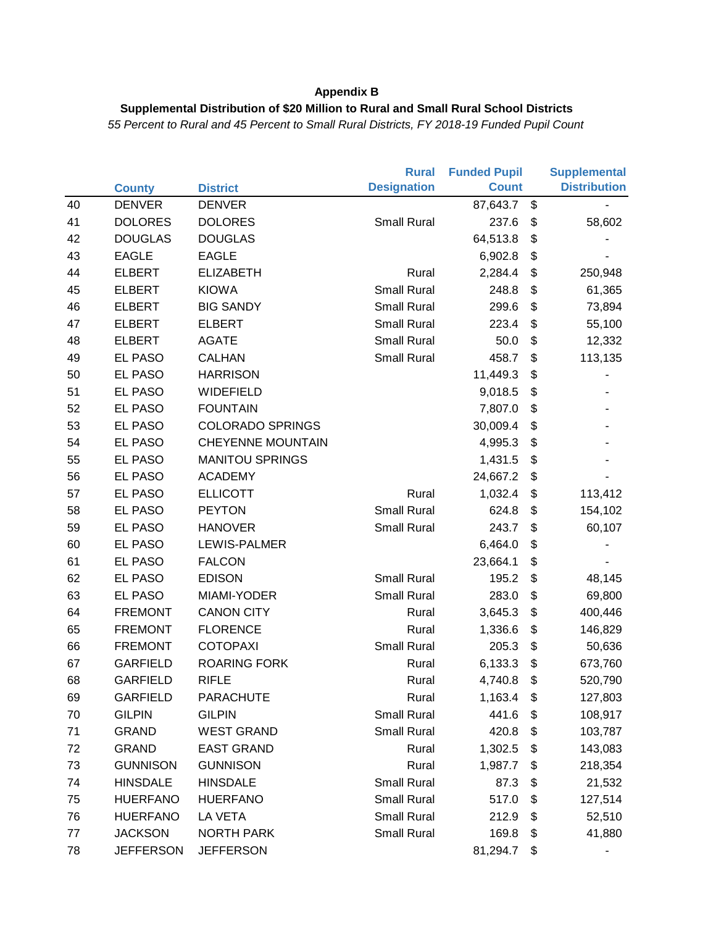### **Supplemental Distribution of \$20 Million to Rural and Small Rural School Districts**

|    |                  |                          | <b>Rural</b>       | <b>Funded Pupil</b> |                       | <b>Supplemental</b> |
|----|------------------|--------------------------|--------------------|---------------------|-----------------------|---------------------|
|    | <b>County</b>    | <b>District</b>          | <b>Designation</b> | <b>Count</b>        |                       | <b>Distribution</b> |
| 40 | <b>DENVER</b>    | <b>DENVER</b>            |                    | 87,643.7            | \$                    |                     |
| 41 | <b>DOLORES</b>   | <b>DOLORES</b>           | <b>Small Rural</b> | 237.6               | \$                    | 58,602              |
| 42 | <b>DOUGLAS</b>   | <b>DOUGLAS</b>           |                    | 64,513.8            | \$                    |                     |
| 43 | <b>EAGLE</b>     | <b>EAGLE</b>             |                    | 6,902.8             | \$                    |                     |
| 44 | <b>ELBERT</b>    | <b>ELIZABETH</b>         | Rural              | 2,284.4             | \$                    | 250,948             |
| 45 | <b>ELBERT</b>    | <b>KIOWA</b>             | <b>Small Rural</b> | 248.8               | $\frac{1}{2}$         | 61,365              |
| 46 | <b>ELBERT</b>    | <b>BIG SANDY</b>         | <b>Small Rural</b> | 299.6               | \$                    | 73,894              |
| 47 | <b>ELBERT</b>    | <b>ELBERT</b>            | <b>Small Rural</b> | 223.4               | \$                    | 55,100              |
| 48 | <b>ELBERT</b>    | <b>AGATE</b>             | <b>Small Rural</b> | 50.0                | \$                    | 12,332              |
| 49 | EL PASO          | <b>CALHAN</b>            | <b>Small Rural</b> | 458.7               | \$                    | 113,135             |
| 50 | <b>EL PASO</b>   | <b>HARRISON</b>          |                    | 11,449.3            | \$                    |                     |
| 51 | <b>EL PASO</b>   | WIDEFIELD                |                    | 9,018.5             | \$                    |                     |
| 52 | <b>EL PASO</b>   | <b>FOUNTAIN</b>          |                    | 7,807.0             | $\frac{1}{2}$         |                     |
| 53 | <b>EL PASO</b>   | <b>COLORADO SPRINGS</b>  |                    | 30,009.4            | \$                    |                     |
| 54 | EL PASO          | <b>CHEYENNE MOUNTAIN</b> |                    | 4,995.3             | \$                    |                     |
| 55 | EL PASO          | <b>MANITOU SPRINGS</b>   |                    | 1,431.5             | \$                    |                     |
| 56 | <b>EL PASO</b>   | <b>ACADEMY</b>           |                    | 24,667.2            | \$                    |                     |
| 57 | <b>EL PASO</b>   | <b>ELLICOTT</b>          | Rural              | 1,032.4             | \$                    | 113,412             |
| 58 | <b>EL PASO</b>   | <b>PEYTON</b>            | <b>Small Rural</b> | 624.8               | \$                    | 154,102             |
| 59 | EL PASO          | <b>HANOVER</b>           | <b>Small Rural</b> | 243.7               | \$                    | 60,107              |
| 60 | EL PASO          | LEWIS-PALMER             |                    | 6,464.0             | \$                    |                     |
| 61 | EL PASO          | <b>FALCON</b>            |                    | 23,664.1            | \$                    |                     |
| 62 | <b>EL PASO</b>   | <b>EDISON</b>            | <b>Small Rural</b> | 195.2               | \$                    | 48,145              |
| 63 | <b>EL PASO</b>   | MIAMI-YODER              | <b>Small Rural</b> | 283.0               | \$                    | 69,800              |
| 64 | <b>FREMONT</b>   | <b>CANON CITY</b>        | Rural              | 3,645.3             | $\boldsymbol{\theta}$ | 400,446             |
| 65 | <b>FREMONT</b>   | <b>FLORENCE</b>          | Rural              | 1,336.6             | \$                    | 146,829             |
| 66 | <b>FREMONT</b>   | <b>COTOPAXI</b>          | <b>Small Rural</b> | 205.3               | $\frac{1}{2}$         | 50,636              |
| 67 | <b>GARFIELD</b>  | <b>ROARING FORK</b>      | Rural              | 6,133.3             | \$                    | 673,760             |
| 68 | <b>GARFIELD</b>  | <b>RIFLE</b>             | Rural              | 4,740.8             | \$                    | 520,790             |
| 69 | <b>GARFIELD</b>  | <b>PARACHUTE</b>         | Rural              | 1,163.4             | \$                    | 127,803             |
| 70 | <b>GILPIN</b>    | <b>GILPIN</b>            | <b>Small Rural</b> | 441.6               | \$                    | 108,917             |
| 71 | <b>GRAND</b>     | <b>WEST GRAND</b>        | Small Rural        | 420.8               | \$                    | 103,787             |
| 72 | <b>GRAND</b>     | <b>EAST GRAND</b>        | Rural              | 1,302.5             | \$                    | 143,083             |
| 73 | <b>GUNNISON</b>  | <b>GUNNISON</b>          | Rural              | 1,987.7             | \$                    | 218,354             |
| 74 | <b>HINSDALE</b>  | <b>HINSDALE</b>          | <b>Small Rural</b> | 87.3                | \$                    | 21,532              |
| 75 | <b>HUERFANO</b>  | <b>HUERFANO</b>          | <b>Small Rural</b> | 517.0               | \$                    | 127,514             |
| 76 | <b>HUERFANO</b>  | LA VETA                  | <b>Small Rural</b> | 212.9               | \$                    | 52,510              |
| 77 | <b>JACKSON</b>   | <b>NORTH PARK</b>        | <b>Small Rural</b> | 169.8               | \$                    | 41,880              |
| 78 | <b>JEFFERSON</b> | <b>JEFFERSON</b>         |                    | 81,294.7            | \$                    |                     |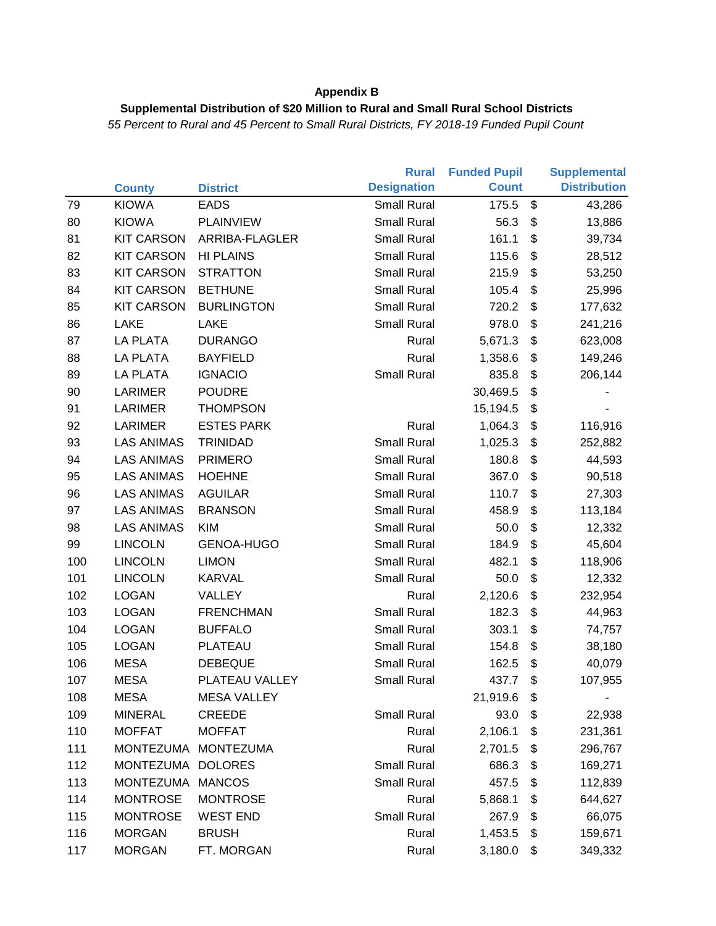### **Supplemental Distribution of \$20 Million to Rural and Small Rural School Districts**

|     |                   |                    | <b>Rural</b>       | <b>Funded Pupil</b> |                       | <b>Supplemental</b> |
|-----|-------------------|--------------------|--------------------|---------------------|-----------------------|---------------------|
|     | <b>County</b>     | <b>District</b>    | <b>Designation</b> | <b>Count</b>        |                       | <b>Distribution</b> |
| 79  | <b>KIOWA</b>      | <b>EADS</b>        | <b>Small Rural</b> | 175.5               | \$                    | 43,286              |
| 80  | <b>KIOWA</b>      | <b>PLAINVIEW</b>   | <b>Small Rural</b> | 56.3                | \$                    | 13,886              |
| 81  | <b>KIT CARSON</b> | ARRIBA-FLAGLER     | <b>Small Rural</b> | 161.1               | \$                    | 39,734              |
| 82  | <b>KIT CARSON</b> | <b>HI PLAINS</b>   | <b>Small Rural</b> | 115.6               | $\frac{1}{2}$         | 28,512              |
| 83  | <b>KIT CARSON</b> | <b>STRATTON</b>    | <b>Small Rural</b> | 215.9               | \$                    | 53,250              |
| 84  | <b>KIT CARSON</b> | <b>BETHUNE</b>     | <b>Small Rural</b> | 105.4               | \$                    | 25,996              |
| 85  | <b>KIT CARSON</b> | <b>BURLINGTON</b>  | <b>Small Rural</b> | 720.2               | \$                    | 177,632             |
| 86  | <b>LAKE</b>       | LAKE               | <b>Small Rural</b> | 978.0               | \$                    | 241,216             |
| 87  | LA PLATA          | <b>DURANGO</b>     | Rural              | 5,671.3             | $\boldsymbol{\theta}$ | 623,008             |
| 88  | <b>LA PLATA</b>   | <b>BAYFIELD</b>    | Rural              | 1,358.6             | \$                    | 149,246             |
| 89  | <b>LA PLATA</b>   | <b>IGNACIO</b>     | <b>Small Rural</b> | 835.8               | \$                    | 206,144             |
| 90  | LARIMER           | <b>POUDRE</b>      |                    | 30,469.5            | \$                    |                     |
| 91  | <b>LARIMER</b>    | <b>THOMPSON</b>    |                    | 15,194.5            | \$                    |                     |
| 92  | <b>LARIMER</b>    | <b>ESTES PARK</b>  | Rural              | 1,064.3             | \$                    | 116,916             |
| 93  | <b>LAS ANIMAS</b> | <b>TRINIDAD</b>    | <b>Small Rural</b> | 1,025.3             | $\frac{1}{2}$         | 252,882             |
| 94  | <b>LAS ANIMAS</b> | <b>PRIMERO</b>     | <b>Small Rural</b> | 180.8               | $\frac{1}{2}$         | 44,593              |
| 95  | <b>LAS ANIMAS</b> | <b>HOEHNE</b>      | <b>Small Rural</b> | 367.0               | $\frac{1}{2}$         | 90,518              |
| 96  | <b>LAS ANIMAS</b> | <b>AGUILAR</b>     | <b>Small Rural</b> | 110.7               | \$                    | 27,303              |
| 97  | <b>LAS ANIMAS</b> | <b>BRANSON</b>     | <b>Small Rural</b> | 458.9               | \$                    | 113,184             |
| 98  | <b>LAS ANIMAS</b> | <b>KIM</b>         | <b>Small Rural</b> | 50.0                | $\frac{1}{2}$         | 12,332              |
| 99  | <b>LINCOLN</b>    | GENOA-HUGO         | <b>Small Rural</b> | 184.9               | \$                    | 45,604              |
| 100 | <b>LINCOLN</b>    | <b>LIMON</b>       | <b>Small Rural</b> | 482.1               | \$                    | 118,906             |
| 101 | <b>LINCOLN</b>    | <b>KARVAL</b>      | <b>Small Rural</b> | 50.0                | \$                    | 12,332              |
| 102 | <b>LOGAN</b>      | VALLEY             | Rural              | 2,120.6             | \$                    | 232,954             |
| 103 | <b>LOGAN</b>      | <b>FRENCHMAN</b>   | <b>Small Rural</b> | 182.3               | \$                    | 44,963              |
| 104 | <b>LOGAN</b>      | <b>BUFFALO</b>     | <b>Small Rural</b> | 303.1               | \$                    | 74,757              |
| 105 | <b>LOGAN</b>      | PLATEAU            | <b>Small Rural</b> | 154.8               | \$                    | 38,180              |
| 106 | <b>MESA</b>       | <b>DEBEQUE</b>     | <b>Small Rural</b> | 162.5               | $\frac{1}{2}$         | 40,079              |
| 107 | <b>MESA</b>       | PLATEAU VALLEY     | <b>Small Rural</b> | 437.7               | \$                    | 107,955             |
| 108 | <b>MESA</b>       | <b>MESA VALLEY</b> |                    | 21,919.6            | \$                    |                     |
| 109 | <b>MINERAL</b>    | <b>CREEDE</b>      | <b>Small Rural</b> | 93.0                | \$                    | 22,938              |
| 110 | <b>MOFFAT</b>     | <b>MOFFAT</b>      | Rural              | 2,106.1             | \$                    | 231,361             |
| 111 | <b>MONTEZUMA</b>  | <b>MONTEZUMA</b>   | Rural              | 2,701.5             | \$                    | 296,767             |
| 112 | MONTEZUMA         | <b>DOLORES</b>     | <b>Small Rural</b> | 686.3               | \$                    | 169,271             |
| 113 | MONTEZUMA         | <b>MANCOS</b>      | <b>Small Rural</b> | 457.5               | \$                    | 112,839             |
| 114 | <b>MONTROSE</b>   | <b>MONTROSE</b>    | Rural              | 5,868.1             | \$                    | 644,627             |
| 115 | <b>MONTROSE</b>   | <b>WEST END</b>    | <b>Small Rural</b> | 267.9               | \$                    | 66,075              |
| 116 | <b>MORGAN</b>     | <b>BRUSH</b>       | Rural              | 1,453.5             | \$                    | 159,671             |
| 117 | <b>MORGAN</b>     | FT. MORGAN         | Rural              | 3,180.0             | \$                    | 349,332             |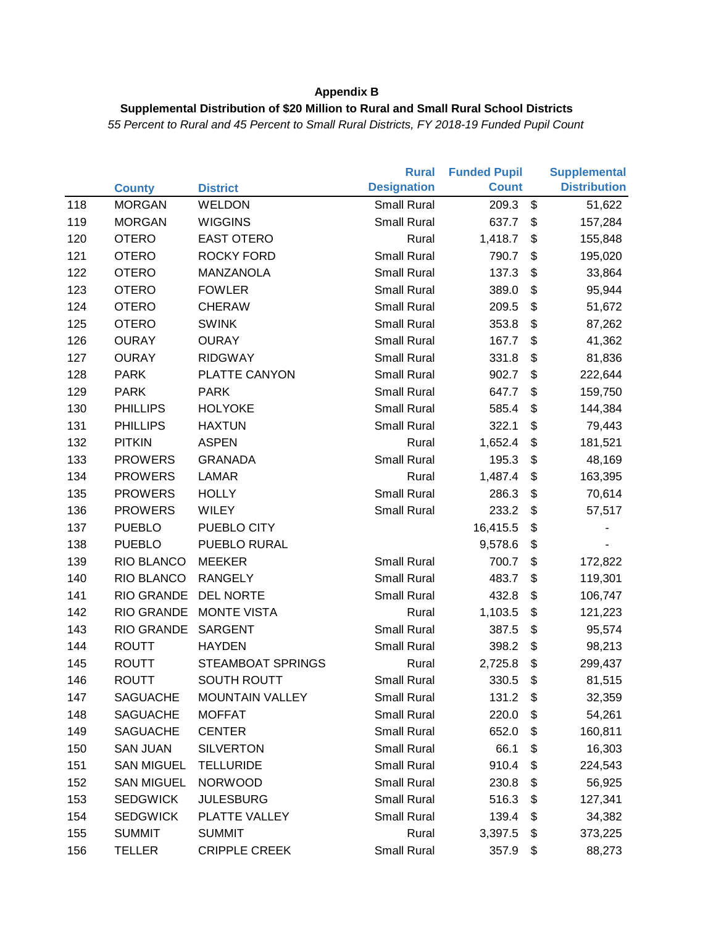### **Supplemental Distribution of \$20 Million to Rural and Small Rural School Districts**

|     |                   |                          | <b>Rural</b>       | <b>Funded Pupil</b> |                       | <b>Supplemental</b> |
|-----|-------------------|--------------------------|--------------------|---------------------|-----------------------|---------------------|
|     | <b>County</b>     | <b>District</b>          | <b>Designation</b> | <b>Count</b>        |                       | <b>Distribution</b> |
| 118 | <b>MORGAN</b>     | WELDON                   | <b>Small Rural</b> | 209.3               | \$                    | 51,622              |
| 119 | <b>MORGAN</b>     | <b>WIGGINS</b>           | <b>Small Rural</b> | 637.7               | \$                    | 157,284             |
| 120 | <b>OTERO</b>      | <b>EAST OTERO</b>        | Rural              | 1,418.7             | \$                    | 155,848             |
| 121 | <b>OTERO</b>      | <b>ROCKY FORD</b>        | <b>Small Rural</b> | 790.7               | \$                    | 195,020             |
| 122 | <b>OTERO</b>      | MANZANOLA                | <b>Small Rural</b> | 137.3               | \$                    | 33,864              |
| 123 | <b>OTERO</b>      | <b>FOWLER</b>            | <b>Small Rural</b> | 389.0               | \$                    | 95,944              |
| 124 | <b>OTERO</b>      | <b>CHERAW</b>            | <b>Small Rural</b> | 209.5               | \$                    | 51,672              |
| 125 | <b>OTERO</b>      | <b>SWINK</b>             | <b>Small Rural</b> | 353.8               | \$                    | 87,262              |
| 126 | <b>OURAY</b>      | <b>OURAY</b>             | <b>Small Rural</b> | 167.7               | \$                    | 41,362              |
| 127 | <b>OURAY</b>      | <b>RIDGWAY</b>           | <b>Small Rural</b> | 331.8               | \$                    | 81,836              |
| 128 | <b>PARK</b>       | PLATTE CANYON            | <b>Small Rural</b> | 902.7               | \$                    | 222,644             |
| 129 | <b>PARK</b>       | <b>PARK</b>              | <b>Small Rural</b> | 647.7               | \$                    | 159,750             |
| 130 | <b>PHILLIPS</b>   | <b>HOLYOKE</b>           | Small Rural        | 585.4               | \$                    | 144,384             |
| 131 | <b>PHILLIPS</b>   | <b>HAXTUN</b>            | <b>Small Rural</b> | 322.1               | \$                    | 79,443              |
| 132 | <b>PITKIN</b>     | <b>ASPEN</b>             | Rural              | 1,652.4             | \$                    | 181,521             |
| 133 | <b>PROWERS</b>    | <b>GRANADA</b>           | <b>Small Rural</b> | 195.3               | $\boldsymbol{\theta}$ | 48,169              |
| 134 | <b>PROWERS</b>    | <b>LAMAR</b>             | Rural              | 1,487.4             | \$                    | 163,395             |
| 135 | <b>PROWERS</b>    | <b>HOLLY</b>             | <b>Small Rural</b> | 286.3               | \$                    | 70,614              |
| 136 | <b>PROWERS</b>    | <b>WILEY</b>             | <b>Small Rural</b> | 233.2               | \$                    | 57,517              |
| 137 | <b>PUEBLO</b>     | PUEBLO CITY              |                    | 16,415.5            | \$                    |                     |
| 138 | <b>PUEBLO</b>     | PUEBLO RURAL             |                    | 9,578.6             | \$                    |                     |
| 139 | RIO BLANCO        | <b>MEEKER</b>            | <b>Small Rural</b> | 700.7               | \$                    | 172,822             |
| 140 | RIO BLANCO        | <b>RANGELY</b>           | <b>Small Rural</b> | 483.7               | \$                    | 119,301             |
| 141 | <b>RIO GRANDE</b> | <b>DEL NORTE</b>         | <b>Small Rural</b> | 432.8               | \$                    | 106,747             |
| 142 | <b>RIO GRANDE</b> | <b>MONTE VISTA</b>       | Rural              | 1,103.5             | \$                    | 121,223             |
| 143 | <b>RIO GRANDE</b> | SARGENT                  | <b>Small Rural</b> | 387.5               | $\boldsymbol{\theta}$ | 95,574              |
| 144 | <b>ROUTT</b>      | <b>HAYDEN</b>            | <b>Small Rural</b> | 398.2               | \$                    | 98,213              |
| 145 | <b>ROUTT</b>      | <b>STEAMBOAT SPRINGS</b> | Rural              | 2,725.8             | $\boldsymbol{\theta}$ | 299,437             |
| 146 | <b>ROUTT</b>      | <b>SOUTH ROUTT</b>       | <b>Small Rural</b> | 330.5               | \$                    | 81,515              |
| 147 | <b>SAGUACHE</b>   | <b>MOUNTAIN VALLEY</b>   | <b>Small Rural</b> | 131.2               | \$                    | 32,359              |
| 148 | <b>SAGUACHE</b>   | <b>MOFFAT</b>            | <b>Small Rural</b> | 220.0               | \$                    | 54,261              |
| 149 | <b>SAGUACHE</b>   | <b>CENTER</b>            | <b>Small Rural</b> | 652.0               | \$                    | 160,811             |
| 150 | <b>SAN JUAN</b>   | <b>SILVERTON</b>         | <b>Small Rural</b> | 66.1                | \$                    | 16,303              |
| 151 | <b>SAN MIGUEL</b> | <b>TELLURIDE</b>         | <b>Small Rural</b> | 910.4               | \$                    | 224,543             |
| 152 | <b>SAN MIGUEL</b> | <b>NORWOOD</b>           | <b>Small Rural</b> | 230.8               | \$                    | 56,925              |
| 153 | <b>SEDGWICK</b>   | <b>JULESBURG</b>         | <b>Small Rural</b> | 516.3               | \$                    | 127,341             |
| 154 | <b>SEDGWICK</b>   | PLATTE VALLEY            | <b>Small Rural</b> | 139.4               | \$                    | 34,382              |
| 155 | <b>SUMMIT</b>     | <b>SUMMIT</b>            | Rural              | 3,397.5             | \$                    | 373,225             |
| 156 | <b>TELLER</b>     | <b>CRIPPLE CREEK</b>     | Small Rural        | 357.9               | \$                    | 88,273              |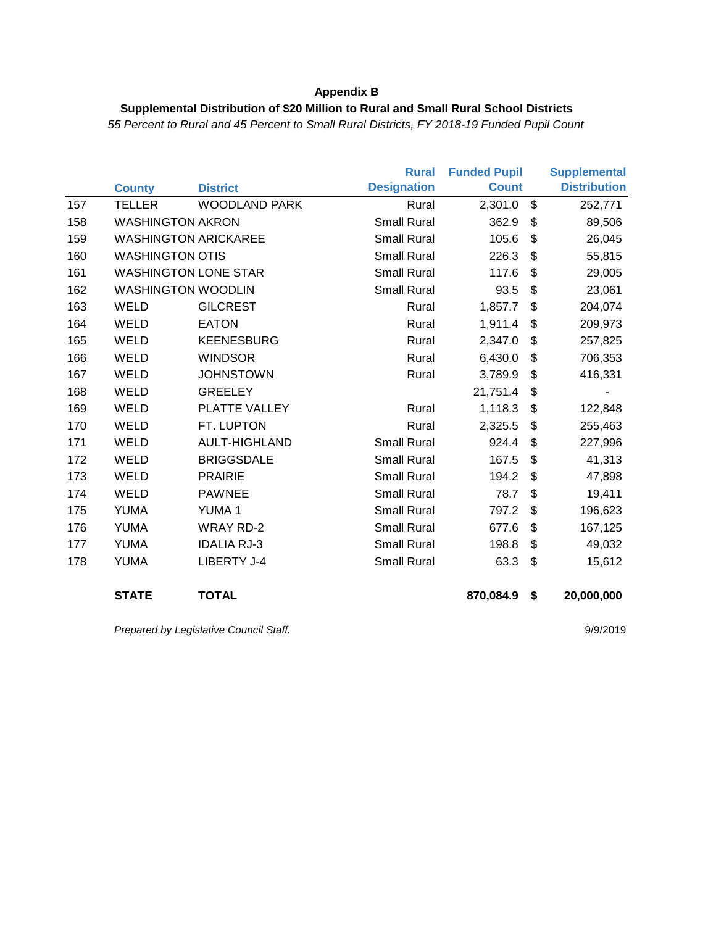#### **Supplemental Distribution of \$20 Million to Rural and Small Rural School Districts**

*55 Percent to Rural and 45 Percent to Small Rural Districts, FY 2018-19 Funded Pupil Count*

|     |                         |                             | <b>Rural</b>       | <b>Funded Pupil</b> |                       | <b>Supplemental</b> |
|-----|-------------------------|-----------------------------|--------------------|---------------------|-----------------------|---------------------|
|     | <b>County</b>           | <b>District</b>             | <b>Designation</b> | <b>Count</b>        |                       | <b>Distribution</b> |
| 157 | <b>TELLER</b>           | <b>WOODLAND PARK</b>        | Rural              | 2,301.0             | $\mathfrak{S}$        | 252,771             |
| 158 | <b>WASHINGTON AKRON</b> |                             | <b>Small Rural</b> | 362.9               | \$                    | 89,506              |
| 159 |                         | <b>WASHINGTON ARICKAREE</b> | <b>Small Rural</b> | 105.6               | \$                    | 26,045              |
| 160 | <b>WASHINGTON OTIS</b>  |                             | <b>Small Rural</b> | 226.3               | \$                    | 55,815              |
| 161 |                         | <b>WASHINGTON LONE STAR</b> | <b>Small Rural</b> | 117.6               | \$                    | 29,005              |
| 162 |                         | <b>WASHINGTON WOODLIN</b>   | <b>Small Rural</b> | 93.5                | \$                    | 23,061              |
| 163 | <b>WELD</b>             | <b>GILCREST</b>             | Rural              | 1,857.7             | \$                    | 204,074             |
| 164 | WELD                    | <b>EATON</b>                | Rural              | 1,911.4             | \$                    | 209,973             |
| 165 | WELD                    | <b>KEENESBURG</b>           | Rural              | 2,347.0             | $\boldsymbol{\theta}$ | 257,825             |
| 166 | WELD                    | <b>WINDSOR</b>              | Rural              | 6,430.0             | \$                    | 706,353             |
| 167 | <b>WELD</b>             | <b>JOHNSTOWN</b>            | Rural              | 3,789.9             | \$                    | 416,331             |
| 168 | WELD                    | <b>GREELEY</b>              |                    | 21,751.4            | \$                    |                     |
| 169 | <b>WELD</b>             | PLATTE VALLEY               | Rural              | 1,118.3             | \$                    | 122,848             |
| 170 | <b>WELD</b>             | FT. LUPTON                  | Rural              | 2,325.5             | \$                    | 255,463             |
| 171 | <b>WELD</b>             | <b>AULT-HIGHLAND</b>        | <b>Small Rural</b> | 924.4               | \$                    | 227,996             |
| 172 | <b>WELD</b>             | <b>BRIGGSDALE</b>           | <b>Small Rural</b> | 167.5               | \$                    | 41,313              |
| 173 | WELD                    | <b>PRAIRIE</b>              | <b>Small Rural</b> | 194.2               | \$                    | 47,898              |
| 174 | <b>WELD</b>             | <b>PAWNEE</b>               | <b>Small Rural</b> | 78.7                | \$                    | 19,411              |
| 175 | <b>YUMA</b>             | <b>YUMA1</b>                | <b>Small Rural</b> | 797.2               | \$                    | 196,623             |
| 176 | <b>YUMA</b>             | <b>WRAY RD-2</b>            | <b>Small Rural</b> | 677.6               | \$                    | 167,125             |
| 177 | <b>YUMA</b>             | <b>IDALIA RJ-3</b>          | <b>Small Rural</b> | 198.8               | \$                    | 49,032              |
| 178 | <b>YUMA</b>             | LIBERTY J-4                 | <b>Small Rural</b> | 63.3                | \$                    | 15,612              |
|     |                         |                             |                    |                     |                       |                     |
|     | <b>STATE</b>            | <b>TOTAL</b>                |                    | 870,084.9           | \$                    | 20,000,000          |
|     |                         |                             |                    |                     |                       |                     |

Prepared by Legislative Council Staff. **9/9/2019**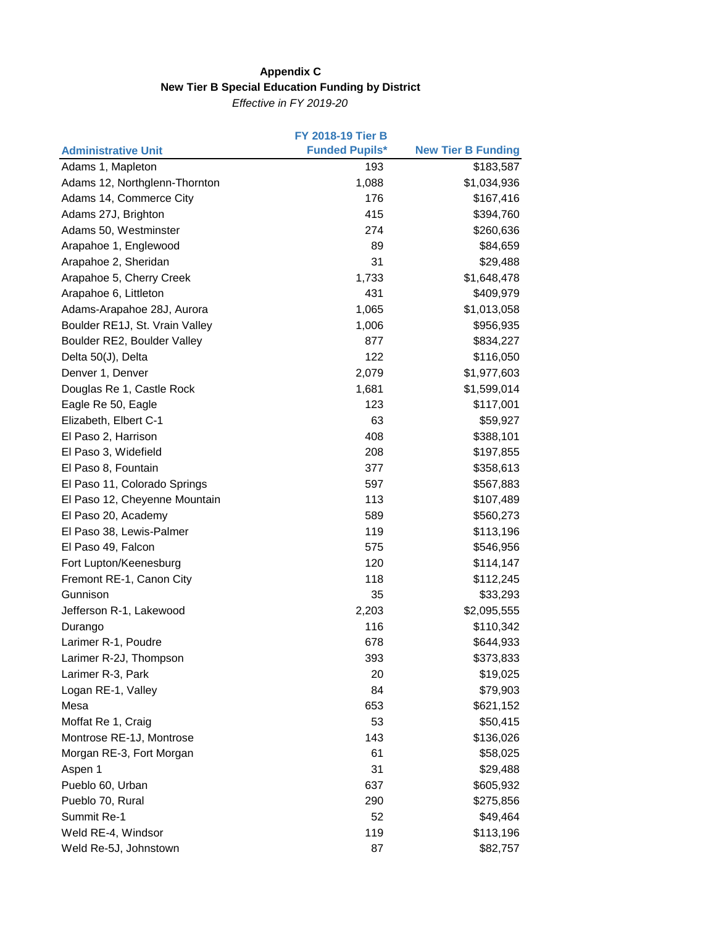### **Appendix C New Tier B Special Education Funding by District**

*Effective in FY 2019-20*

|                                | <b>FY 2018-19 Tier B</b> |                           |
|--------------------------------|--------------------------|---------------------------|
| <b>Administrative Unit</b>     | <b>Funded Pupils*</b>    | <b>New Tier B Funding</b> |
| Adams 1, Mapleton              | 193                      | \$183,587                 |
| Adams 12, Northglenn-Thornton  | 1,088                    | \$1,034,936               |
| Adams 14, Commerce City        | 176                      | \$167,416                 |
| Adams 27J, Brighton            | 415                      | \$394,760                 |
| Adams 50, Westminster          | 274                      | \$260,636                 |
| Arapahoe 1, Englewood          | 89                       | \$84,659                  |
| Arapahoe 2, Sheridan           | 31                       | \$29,488                  |
| Arapahoe 5, Cherry Creek       | 1,733                    | \$1,648,478               |
| Arapahoe 6, Littleton          | 431                      | \$409,979                 |
| Adams-Arapahoe 28J, Aurora     | 1,065                    | \$1,013,058               |
| Boulder RE1J, St. Vrain Valley | 1,006                    | \$956,935                 |
| Boulder RE2, Boulder Valley    | 877                      | \$834,227                 |
| Delta 50(J), Delta             | 122                      | \$116,050                 |
| Denver 1, Denver               | 2,079                    | \$1,977,603               |
| Douglas Re 1, Castle Rock      | 1,681                    | \$1,599,014               |
| Eagle Re 50, Eagle             | 123                      | \$117,001                 |
| Elizabeth, Elbert C-1          | 63                       | \$59,927                  |
| El Paso 2, Harrison            | 408                      | \$388,101                 |
| El Paso 3, Widefield           | 208                      | \$197,855                 |
| El Paso 8, Fountain            | 377                      | \$358,613                 |
| El Paso 11, Colorado Springs   | 597                      | \$567,883                 |
| El Paso 12, Cheyenne Mountain  | 113                      | \$107,489                 |
| El Paso 20, Academy            | 589                      | \$560,273                 |
| El Paso 38, Lewis-Palmer       | 119                      | \$113,196                 |
| El Paso 49, Falcon             | 575                      | \$546,956                 |
| Fort Lupton/Keenesburg         | 120                      | \$114,147                 |
| Fremont RE-1, Canon City       | 118                      | \$112,245                 |
| Gunnison                       | 35                       | \$33,293                  |
| Jefferson R-1, Lakewood        | 2,203                    | \$2,095,555               |
| Durango                        | 116                      | \$110,342                 |
| Larimer R-1, Poudre            | 678                      | \$644,933                 |
| Larimer R-2J, Thompson         | 393                      | \$373,833                 |
| Larimer R-3, Park              | 20                       | \$19,025                  |
| Logan RE-1, Valley             | 84                       | \$79,903                  |
| Mesa                           | 653                      | \$621,152                 |
| Moffat Re 1, Craig             | 53                       | \$50,415                  |
| Montrose RE-1J, Montrose       | 143                      | \$136,026                 |
| Morgan RE-3, Fort Morgan       | 61                       | \$58,025                  |
| Aspen 1                        | 31                       | \$29,488                  |
| Pueblo 60, Urban               | 637                      | \$605,932                 |
| Pueblo 70, Rural               | 290                      | \$275,856                 |
| Summit Re-1                    | 52                       | \$49,464                  |
| Weld RE-4, Windsor             | 119                      | \$113,196                 |
| Weld Re-5J, Johnstown          | 87                       | \$82,757                  |